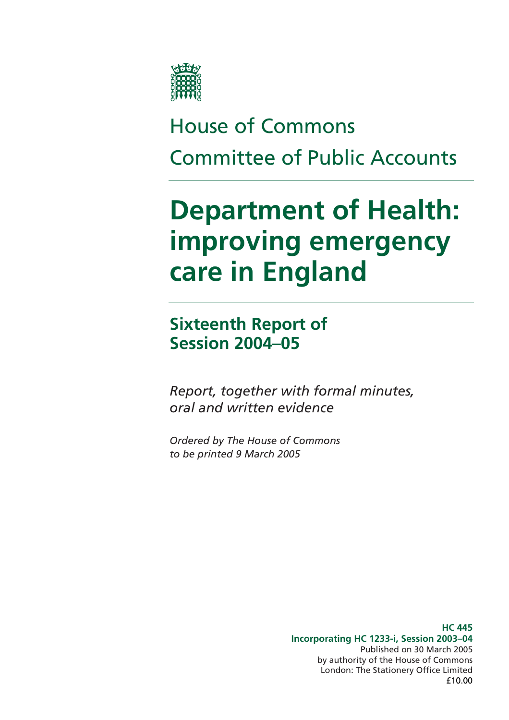

# House of Commons Committee of Public Accounts

# **Department of Health: improving emergency care in England**

**Sixteenth Report of Session 2004–05** 

*Report, together with formal minutes, oral and written evidence* 

*Ordered by The House of Commons to be printed 9 March 2005* 

> **HC 445 Incorporating HC 1233-i, Session 2003–04**  Published on 30 March 2005 by authority of the House of Commons London: The Stationery Office Limited £10.00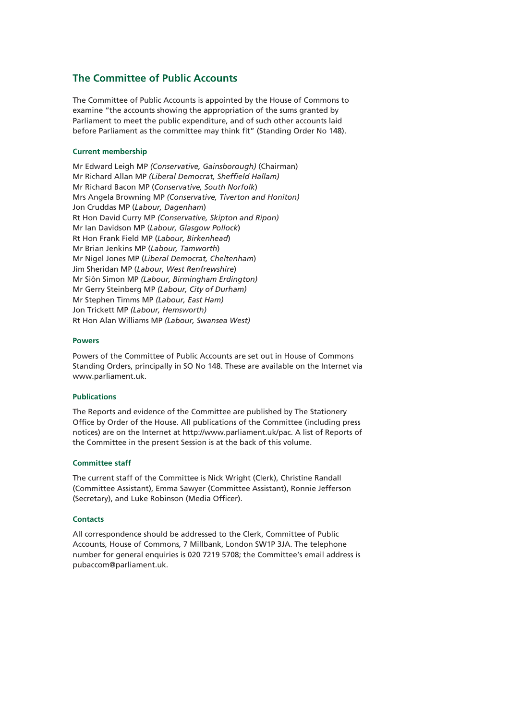#### **The Committee of Public Accounts**

The Committee of Public Accounts is appointed by the House of Commons to examine "the accounts showing the appropriation of the sums granted by Parliament to meet the public expenditure, and of such other accounts laid before Parliament as the committee may think fit" (Standing Order No 148).

#### **Current membership**

Mr Edward Leigh MP *(Conservative, Gainsborough)* (Chairman) Mr Richard Allan MP *(Liberal Democrat, Sheffield Hallam)* Mr Richard Bacon MP (*Conservative, South Norfolk*) Mrs Angela Browning MP *(Conservative, Tiverton and Honiton)*  Jon Cruddas MP (*Labour, Dagenham*) Rt Hon David Curry MP *(Conservative, Skipton and Ripon)* Mr Ian Davidson MP (*Labour, Glasgow Pollock*) Rt Hon Frank Field MP (*Labour, Birkenhead*) Mr Brian Jenkins MP (*Labour, Tamworth*) Mr Nigel Jones MP (*Liberal Democrat, Cheltenham*) Jim Sheridan MP (*Labour, West Renfrewshire*) Mr Siôn Simon MP *(Labour, Birmingham Erdington)* Mr Gerry Steinberg MP *(Labour, City of Durham)*  Mr Stephen Timms MP *(Labour, East Ham)* Jon Trickett MP *(Labour, Hemsworth)* Rt Hon Alan Williams MP *(Labour, Swansea West)*

#### **Powers**

Powers of the Committee of Public Accounts are set out in House of Commons Standing Orders, principally in SO No 148. These are available on the Internet via www.parliament.uk.

#### **Publications**

The Reports and evidence of the Committee are published by The Stationery Office by Order of the House. All publications of the Committee (including press notices) are on the Internet at http://www.parliament.uk/pac. A list of Reports of the Committee in the present Session is at the back of this volume.

#### **Committee staff**

The current staff of the Committee is Nick Wright (Clerk), Christine Randall (Committee Assistant), Emma Sawyer (Committee Assistant), Ronnie Jefferson (Secretary), and Luke Robinson (Media Officer).

#### **Contacts**

All correspondence should be addressed to the Clerk, Committee of Public Accounts, House of Commons, 7 Millbank, London SW1P 3JA. The telephone number for general enquiries is 020 7219 5708; the Committee's email address is pubaccom@parliament.uk.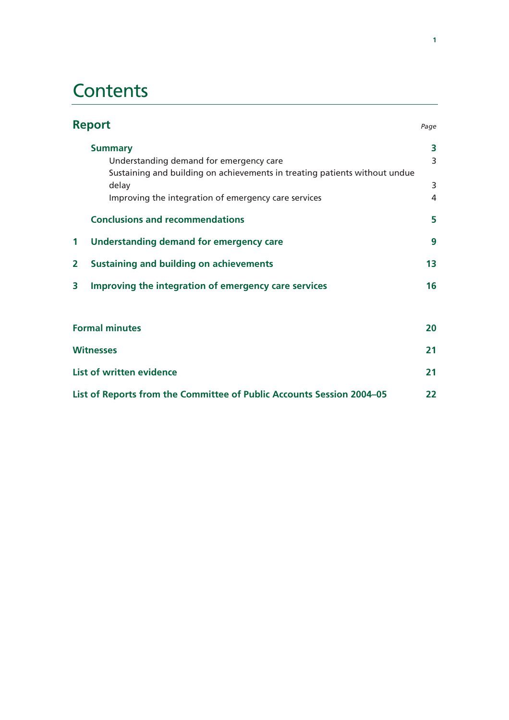# **Contents**

|                | <b>Report</b><br>Page                                                               |        |  |
|----------------|-------------------------------------------------------------------------------------|--------|--|
|                | <b>Summary</b><br>Understanding demand for emergency care                           | 3<br>3 |  |
|                | Sustaining and building on achievements in treating patients without undue<br>delay | 3      |  |
|                | Improving the integration of emergency care services                                | 4      |  |
|                | <b>Conclusions and recommendations</b>                                              | 5      |  |
| 1              | <b>Understanding demand for emergency care</b>                                      | 9      |  |
| $\overline{2}$ | <b>Sustaining and building on achievements</b>                                      | 13     |  |
| 3              | Improving the integration of emergency care services                                | 16     |  |
|                |                                                                                     |        |  |
|                | <b>Formal minutes</b>                                                               |        |  |
|                | <b>Witnesses</b>                                                                    |        |  |
|                | <b>List of written evidence</b>                                                     |        |  |
|                | List of Reports from the Committee of Public Accounts Session 2004–05               | 22     |  |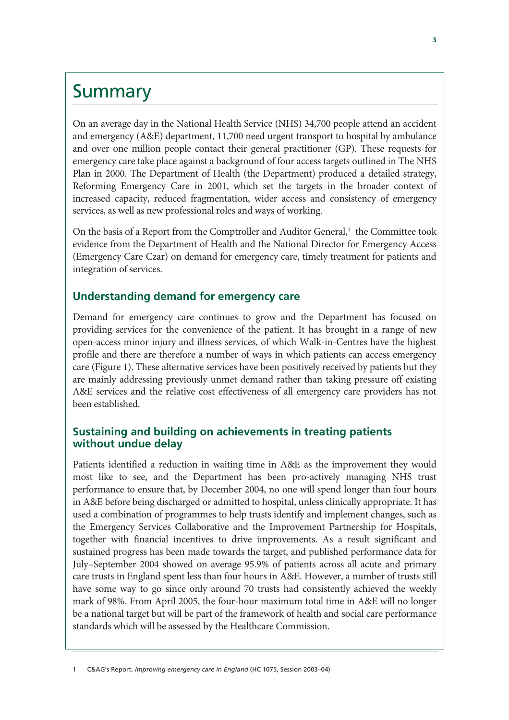## **Summary**

On an average day in the National Health Service (NHS) 34,700 people attend an accident and emergency (A&E) department, 11,700 need urgent transport to hospital by ambulance and over one million people contact their general practitioner (GP). These requests for emergency care take place against a background of four access targets outlined in The NHS Plan in 2000. The Department of Health (the Department) produced a detailed strategy, Reforming Emergency Care in 2001, which set the targets in the broader context of increased capacity, reduced fragmentation, wider access and consistency of emergency services, as well as new professional roles and ways of working.

On the basis of a Report from the Comptroller and Auditor General,<sup>1</sup> the Committee took evidence from the Department of Health and the National Director for Emergency Access (Emergency Care Czar) on demand for emergency care, timely treatment for patients and integration of services.

## **Understanding demand for emergency care**

Demand for emergency care continues to grow and the Department has focused on providing services for the convenience of the patient. It has brought in a range of new open-access minor injury and illness services, of which Walk-in-Centres have the highest profile and there are therefore a number of ways in which patients can access emergency care (Figure 1). These alternative services have been positively received by patients but they are mainly addressing previously unmet demand rather than taking pressure off existing A&E services and the relative cost effectiveness of all emergency care providers has not been established.

## **Sustaining and building on achievements in treating patients without undue delay**

Patients identified a reduction in waiting time in A&E as the improvement they would most like to see, and the Department has been pro-actively managing NHS trust performance to ensure that, by December 2004, no one will spend longer than four hours in A&E before being discharged or admitted to hospital, unless clinically appropriate. It has used a combination of programmes to help trusts identify and implement changes, such as the Emergency Services Collaborative and the Improvement Partnership for Hospitals, together with financial incentives to drive improvements. As a result significant and sustained progress has been made towards the target, and published performance data for July–September 2004 showed on average 95.9% of patients across all acute and primary care trusts in England spent less than four hours in A&E. However, a number of trusts still have some way to go since only around 70 trusts had consistently achieved the weekly mark of 98%. From April 2005, the four-hour maximum total time in A&E will no longer be a national target but will be part of the framework of health and social care performance standards which will be assessed by the Healthcare Commission.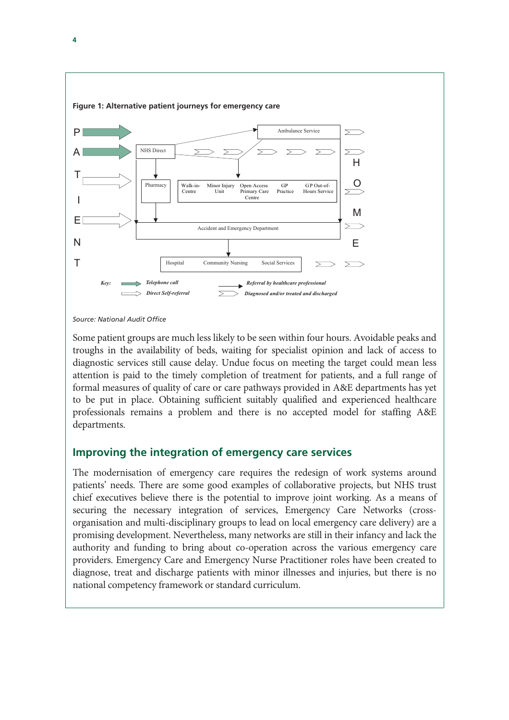

*Source: National Audit Office* 

Some patient groups are much less likely to be seen within four hours. Avoidable peaks and troughs in the availability of beds, waiting for specialist opinion and lack of access to diagnostic services still cause delay. Undue focus on meeting the target could mean less attention is paid to the timely completion of treatment for patients, and a full range of formal measures of quality of care or care pathways provided in A&E departments has yet to be put in place. Obtaining sufficient suitably qualified and experienced healthcare professionals remains a problem and there is no accepted model for staffing A&E departments.

## **Improving the integration of emergency care services**

The modernisation of emergency care requires the redesign of work systems around patients' needs. There are some good examples of collaborative projects, but NHS trust chief executives believe there is the potential to improve joint working. As a means of securing the necessary integration of services, Emergency Care Networks (crossorganisation and multi-disciplinary groups to lead on local emergency care delivery) are a promising development. Nevertheless, many networks are still in their infancy and lack the authority and funding to bring about co-operation across the various emergency care providers. Emergency Care and Emergency Nurse Practitioner roles have been created to diagnose, treat and discharge patients with minor illnesses and injuries, but there is no national competency framework or standard curriculum.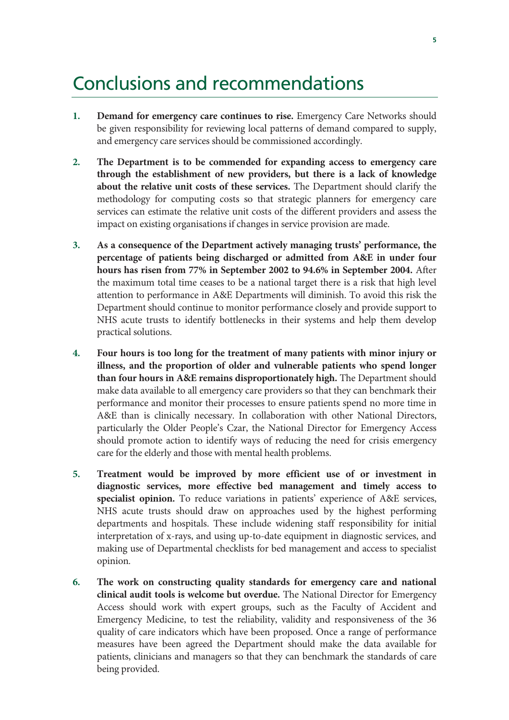# Conclusions and recommendations

- **1. Demand for emergency care continues to rise.** Emergency Care Networks should be given responsibility for reviewing local patterns of demand compared to supply, and emergency care services should be commissioned accordingly.
- **2. The Department is to be commended for expanding access to emergency care through the establishment of new providers, but there is a lack of knowledge about the relative unit costs of these services.** The Department should clarify the methodology for computing costs so that strategic planners for emergency care services can estimate the relative unit costs of the different providers and assess the impact on existing organisations if changes in service provision are made.
- **3. As a consequence of the Department actively managing trusts' performance, the percentage of patients being discharged or admitted from A&E in under four hours has risen from 77% in September 2002 to 94.6% in September 2004.** After the maximum total time ceases to be a national target there is a risk that high level attention to performance in A&E Departments will diminish. To avoid this risk the Department should continue to monitor performance closely and provide support to NHS acute trusts to identify bottlenecks in their systems and help them develop practical solutions.
- **4. Four hours is too long for the treatment of many patients with minor injury or illness, and the proportion of older and vulnerable patients who spend longer than four hours in A&E remains disproportionately high.** The Department should make data available to all emergency care providers so that they can benchmark their performance and monitor their processes to ensure patients spend no more time in A&E than is clinically necessary. In collaboration with other National Directors, particularly the Older People's Czar, the National Director for Emergency Access should promote action to identify ways of reducing the need for crisis emergency care for the elderly and those with mental health problems.
- **5. Treatment would be improved by more efficient use of or investment in diagnostic services, more effective bed management and timely access to specialist opinion.** To reduce variations in patients' experience of A&E services, NHS acute trusts should draw on approaches used by the highest performing departments and hospitals. These include widening staff responsibility for initial interpretation of x-rays, and using up-to-date equipment in diagnostic services, and making use of Departmental checklists for bed management and access to specialist opinion*.*
- **6. The work on constructing quality standards for emergency care and national clinical audit tools is welcome but overdue.** The National Director for Emergency Access should work with expert groups, such as the Faculty of Accident and Emergency Medicine, to test the reliability, validity and responsiveness of the 36 quality of care indicators which have been proposed. Once a range of performance measures have been agreed the Department should make the data available for patients, clinicians and managers so that they can benchmark the standards of care being provided.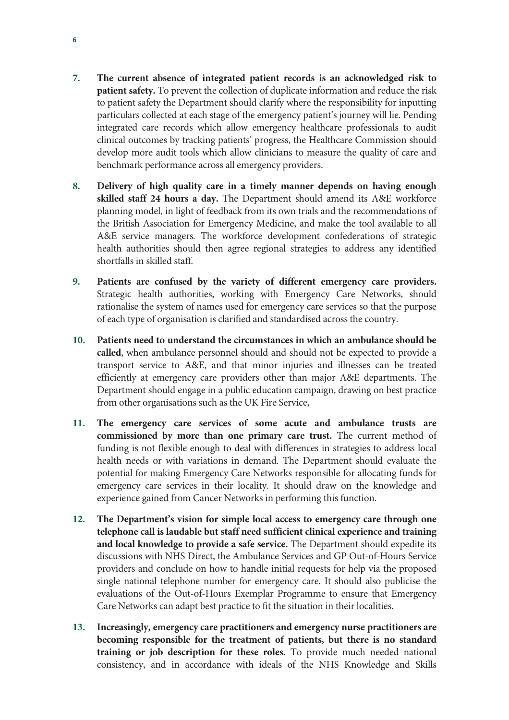- **7. The current absence of integrated patient records is an acknowledged risk to patient safety.** To prevent the collection of duplicate information and reduce the risk to patient safety the Department should clarify where the responsibility for inputting particulars collected at each stage of the emergency patient's journey will lie. Pending integrated care records which allow emergency healthcare professionals to audit clinical outcomes by tracking patients' progress, the Healthcare Commission should develop more audit tools which allow clinicians to measure the quality of care and benchmark performance across all emergency providers.
- **8. Delivery of high quality care in a timely manner depends on having enough skilled staff 24 hours a day.** The Department should amend its A&E workforce planning model, in light of feedback from its own trials and the recommendations of the British Association for Emergency Medicine, and make the tool available to all A&E service managers*.* The workforce development confederations of strategic health authorities should then agree regional strategies to address any identified shortfalls in skilled staff.
- **9. Patients are confused by the variety of different emergency care providers.**  Strategic health authorities, working with Emergency Care Networks, should rationalise the system of names used for emergency care services so that the purpose of each type of organisation is clarified and standardised across the country.
- **10. Patients need to understand the circumstances in which an ambulance should be called**, when ambulance personnel should and should not be expected to provide a transport service to A&E, and that minor injuries and illnesses can be treated efficiently at emergency care providers other than major A&E departments. The Department should engage in a public education campaign, drawing on best practice from other organisations such as the UK Fire Service,
- **11. The emergency care services of some acute and ambulance trusts are commissioned by more than one primary care trust.** The current method of funding is not flexible enough to deal with differences in strategies to address local health needs or with variations in demand. The Department should evaluate the potential for making Emergency Care Networks responsible for allocating funds for emergency care services in their locality. It should draw on the knowledge and experience gained from Cancer Networks in performing this function.
- **12. The Department's vision for simple local access to emergency care through one telephone call is laudable but staff need sufficient clinical experience and training and local knowledge to provide a safe service.** The Department should expedite its discussions with NHS Direct, the Ambulance Services and GP Out-of-Hours Service providers and conclude on how to handle initial requests for help via the proposed single national telephone number for emergency care. It should also publicise the evaluations of the Out-of-Hours Exemplar Programme to ensure that Emergency Care Networks can adapt best practice to fit the situation in their localities.
- **13. Increasingly, emergency care practitioners and emergency nurse practitioners are becoming responsible for the treatment of patients, but there is no standard training or job description for these roles.** To provide much needed national consistency, and in accordance with ideals of the NHS Knowledge and Skills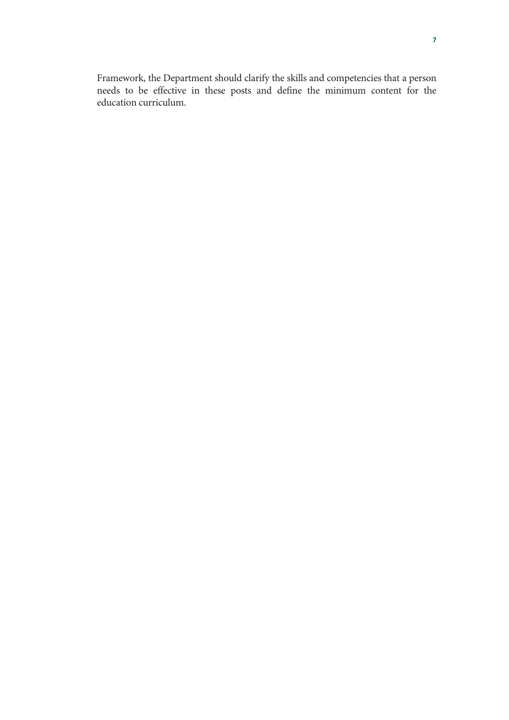Framework, the Department should clarify the skills and competencies that a person needs to be effective in these posts and define the minimum content for the education curriculum.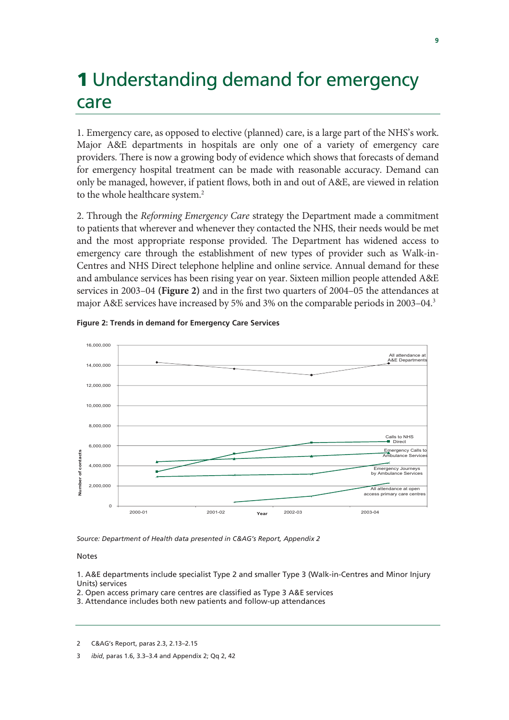# **1** Understanding demand for emergency care

1. Emergency care, as opposed to elective (planned) care, is a large part of the NHS's work. Major A&E departments in hospitals are only one of a variety of emergency care providers. There is now a growing body of evidence which shows that forecasts of demand for emergency hospital treatment can be made with reasonable accuracy. Demand can only be managed, however, if patient flows, both in and out of A&E, are viewed in relation to the whole healthcare system.<sup>2</sup>

2. Through the *Reforming Emergency Care* strategy the Department made a commitment to patients that wherever and whenever they contacted the NHS, their needs would be met and the most appropriate response provided. The Department has widened access to emergency care through the establishment of new types of provider such as Walk-in-Centres and NHS Direct telephone helpline and online service. Annual demand for these and ambulance services has been rising year on year. Sixteen million people attended A&E services in 2003–04 **(Figure 2)** and in the first two quarters of 2004–05 the attendances at major A&E services have increased by 5% and 3% on the comparable periods in 2003–04.3



#### **Figure 2: Trends in demand for Emergency Care Services**

*Source: Department of Health data presented in C&AG's Report, Appendix 2* 

#### Notes

1. A&E departments include specialist Type 2 and smaller Type 3 (Walk-in-Centres and Minor Injury Units) services

2. Open access primary care centres are classified as Type 3 A&E services

3. Attendance includes both new patients and follow-up attendances

2 C&AG's Report, paras 2.3, 2.13–2.15

3 *ibid*, paras 1.6, 3.3–3.4 and Appendix 2; Qq 2, 42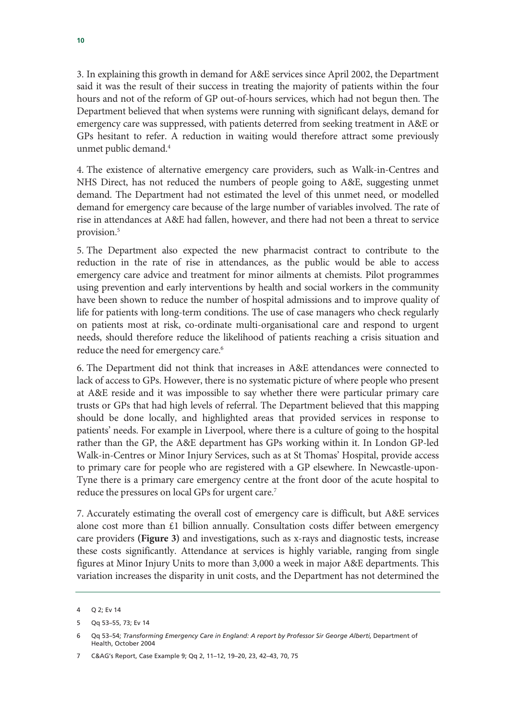3. In explaining this growth in demand for A&E services since April 2002, the Department said it was the result of their success in treating the majority of patients within the four hours and not of the reform of GP out-of-hours services, which had not begun then. The Department believed that when systems were running with significant delays, demand for emergency care was suppressed, with patients deterred from seeking treatment in A&E or GPs hesitant to refer. A reduction in waiting would therefore attract some previously unmet public demand.4

4. The existence of alternative emergency care providers, such as Walk-in-Centres and NHS Direct, has not reduced the numbers of people going to A&E, suggesting unmet demand. The Department had not estimated the level of this unmet need, or modelled demand for emergency care because of the large number of variables involved. The rate of rise in attendances at A&E had fallen, however, and there had not been a threat to service provision.<sup>5</sup>

5. The Department also expected the new pharmacist contract to contribute to the reduction in the rate of rise in attendances, as the public would be able to access emergency care advice and treatment for minor ailments at chemists. Pilot programmes using prevention and early interventions by health and social workers in the community have been shown to reduce the number of hospital admissions and to improve quality of life for patients with long-term conditions. The use of case managers who check regularly on patients most at risk, co-ordinate multi-organisational care and respond to urgent needs, should therefore reduce the likelihood of patients reaching a crisis situation and reduce the need for emergency care.<sup>6</sup>

6. The Department did not think that increases in A&E attendances were connected to lack of access to GPs. However, there is no systematic picture of where people who present at A&E reside and it was impossible to say whether there were particular primary care trusts or GPs that had high levels of referral. The Department believed that this mapping should be done locally, and highlighted areas that provided services in response to patients' needs. For example in Liverpool, where there is a culture of going to the hospital rather than the GP, the A&E department has GPs working within it. In London GP-led Walk-in-Centres or Minor Injury Services, such as at St Thomas' Hospital, provide access to primary care for people who are registered with a GP elsewhere. In Newcastle-upon-Tyne there is a primary care emergency centre at the front door of the acute hospital to reduce the pressures on local GPs for urgent care.<sup>7</sup>

7. Accurately estimating the overall cost of emergency care is difficult, but A&E services alone cost more than £1 billion annually. Consultation costs differ between emergency care providers **(Figure 3)** and investigations, such as x-rays and diagnostic tests, increase these costs significantly. Attendance at services is highly variable, ranging from single figures at Minor Injury Units to more than 3,000 a week in major A&E departments. This variation increases the disparity in unit costs, and the Department has not determined the

<sup>4</sup> Q 2; Ev 14

<sup>5</sup> Qq 53–55, 73; Ev 14

<sup>6</sup> Qq 53–54; *Transforming Emergency Care in England: A report by Professor Sir George Alberti,* Department of Health, October 2004

<sup>7</sup> C&AG's Report, Case Example 9; Qq 2, 11–12, 19–20, 23, 42–43, 70, 75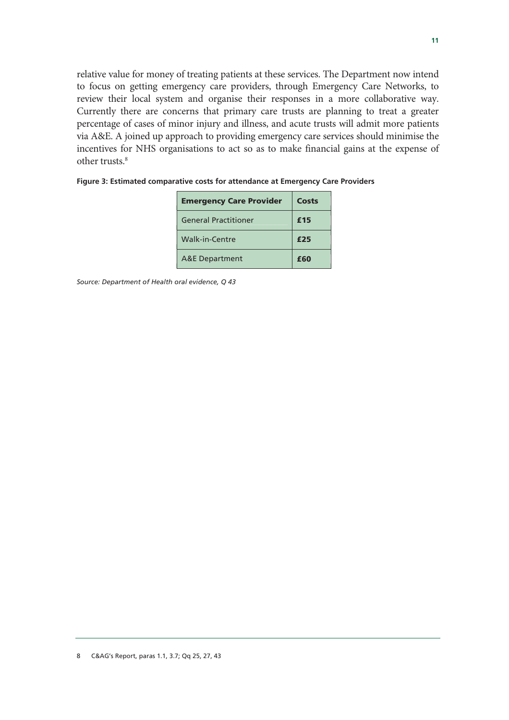relative value for money of treating patients at these services. The Department now intend to focus on getting emergency care providers, through Emergency Care Networks, to review their local system and organise their responses in a more collaborative way. Currently there are concerns that primary care trusts are planning to treat a greater percentage of cases of minor injury and illness, and acute trusts will admit more patients via A&E. A joined up approach to providing emergency care services should minimise the incentives for NHS organisations to act so as to make financial gains at the expense of other trusts.<sup>8</sup>

| <b>Emergency Care Provider</b> | Costs |
|--------------------------------|-------|
| <b>General Practitioner</b>    | £15   |
| Walk-in-Centre                 | £25   |
| <b>A&amp;E Department</b>      | f60   |

*Source: Department of Health oral evidence, Q 43*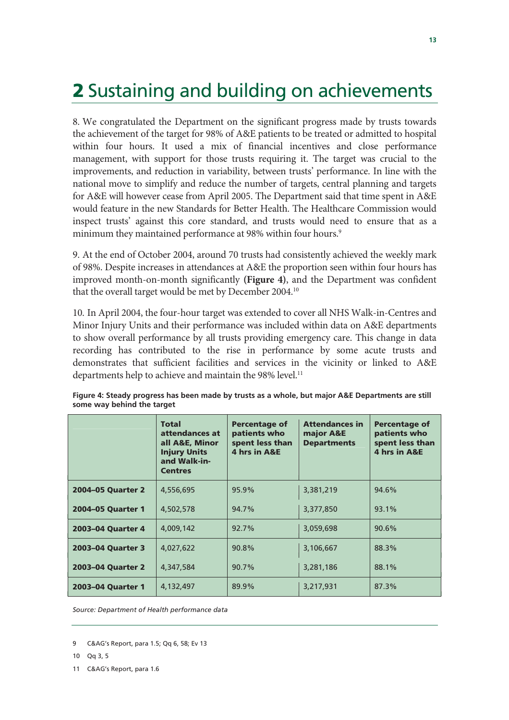# **2** Sustaining and building on achievements

8. We congratulated the Department on the significant progress made by trusts towards the achievement of the target for 98% of A&E patients to be treated or admitted to hospital within four hours. It used a mix of financial incentives and close performance management, with support for those trusts requiring it. The target was crucial to the improvements, and reduction in variability, between trusts' performance. In line with the national move to simplify and reduce the number of targets, central planning and targets for A&E will however cease from April 2005. The Department said that time spent in A&E would feature in the new Standards for Better Health. The Healthcare Commission would inspect trusts' against this core standard, and trusts would need to ensure that as a minimum they maintained performance at 98% within four hours.<sup>9</sup>

9. At the end of October 2004, around 70 trusts had consistently achieved the weekly mark of 98%. Despite increases in attendances at A&E the proportion seen within four hours has improved month-on-month significantly **(Figure 4)**, and the Department was confident that the overall target would be met by December 2004.10

10. In April 2004, the four-hour target was extended to cover all NHS Walk-in-Centres and Minor Injury Units and their performance was included within data on A&E departments to show overall performance by all trusts providing emergency care. This change in data recording has contributed to the rise in performance by some acute trusts and demonstrates that sufficient facilities and services in the vicinity or linked to A&E departments help to achieve and maintain the 98% level.<sup>11</sup>

|                   | <b>Total</b><br>attendances at<br>all A&E, Minor<br><b>Injury Units</b><br>and Walk-in-<br><b>Centres</b> | <b>Percentage of</b><br>patients who<br>spent less than<br>4 hrs in A&E | <b>Attendances in</b><br>major A&E<br><b>Departments</b> | <b>Percentage of</b><br>patients who<br>spent less than<br>4 hrs in A&E |
|-------------------|-----------------------------------------------------------------------------------------------------------|-------------------------------------------------------------------------|----------------------------------------------------------|-------------------------------------------------------------------------|
| 2004-05 Ouarter 2 | 4,556,695                                                                                                 | 95.9%                                                                   | 3,381,219                                                | 94.6%                                                                   |
| 2004-05 Quarter 1 | 4,502,578                                                                                                 | 94.7%                                                                   | 3,377,850                                                | 93.1%                                                                   |
| 2003-04 Quarter 4 | 4,009,142                                                                                                 | 92.7%                                                                   | 3,059,698                                                | $90.6\%$                                                                |
| 2003-04 Quarter 3 | 4,027,622                                                                                                 | 90.8%                                                                   | 3,106,667                                                | 88.3%                                                                   |
| 2003-04 Ouarter 2 | 4,347,584                                                                                                 | 90.7%                                                                   | 3,281,186                                                | 88.1%                                                                   |
| 2003-04 Quarter 1 | 4,132,497                                                                                                 | 89.9%                                                                   | 3,217,931                                                | 87.3%                                                                   |

**Figure 4: Steady progress has been made by trusts as a whole, but major A&E Departments are still some way behind the target** 

*Source: Department of Health performance data* 

11 C&AG's Report, para 1.6

<sup>9</sup> C&AG's Report, para 1.5; Qq 6, 58; Ev 13

<sup>10</sup> Qq 3, 5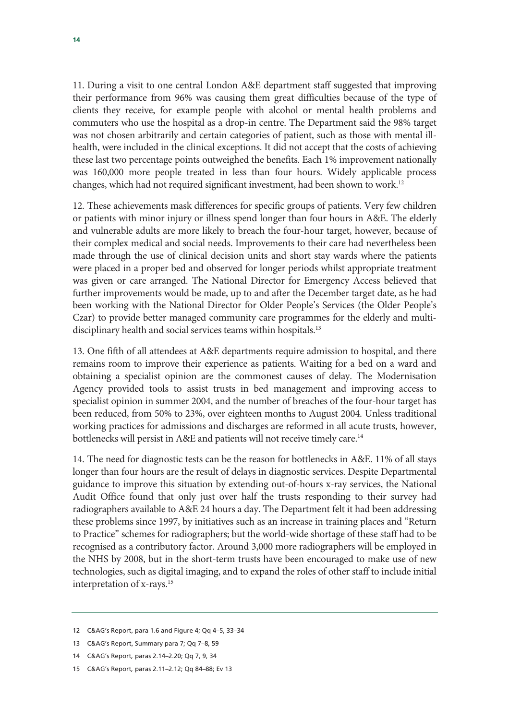11. During a visit to one central London A&E department staff suggested that improving their performance from 96% was causing them great difficulties because of the type of clients they receive, for example people with alcohol or mental health problems and commuters who use the hospital as a drop-in centre. The Department said the 98% target was not chosen arbitrarily and certain categories of patient, such as those with mental illhealth, were included in the clinical exceptions. It did not accept that the costs of achieving these last two percentage points outweighed the benefits. Each 1% improvement nationally was 160,000 more people treated in less than four hours. Widely applicable process changes, which had not required significant investment, had been shown to work.<sup>12</sup>

12. These achievements mask differences for specific groups of patients. Very few children or patients with minor injury or illness spend longer than four hours in A&E. The elderly and vulnerable adults are more likely to breach the four-hour target, however, because of their complex medical and social needs. Improvements to their care had nevertheless been made through the use of clinical decision units and short stay wards where the patients were placed in a proper bed and observed for longer periods whilst appropriate treatment was given or care arranged. The National Director for Emergency Access believed that further improvements would be made, up to and after the December target date, as he had been working with the National Director for Older People's Services (the Older People's Czar) to provide better managed community care programmes for the elderly and multidisciplinary health and social services teams within hospitals.<sup>13</sup>

13. One fifth of all attendees at A&E departments require admission to hospital, and there remains room to improve their experience as patients. Waiting for a bed on a ward and obtaining a specialist opinion are the commonest causes of delay. The Modernisation Agency provided tools to assist trusts in bed management and improving access to specialist opinion in summer 2004, and the number of breaches of the four-hour target has been reduced, from 50% to 23%, over eighteen months to August 2004. Unless traditional working practices for admissions and discharges are reformed in all acute trusts, however, bottlenecks will persist in A&E and patients will not receive timely care.<sup>14</sup>

14. The need for diagnostic tests can be the reason for bottlenecks in A&E. 11% of all stays longer than four hours are the result of delays in diagnostic services. Despite Departmental guidance to improve this situation by extending out-of-hours x-ray services, the National Audit Office found that only just over half the trusts responding to their survey had radiographers available to A&E 24 hours a day. The Department felt it had been addressing these problems since 1997, by initiatives such as an increase in training places and "Return to Practice" schemes for radiographers; but the world-wide shortage of these staff had to be recognised as a contributory factor. Around 3,000 more radiographers will be employed in the NHS by 2008, but in the short-term trusts have been encouraged to make use of new technologies, such as digital imaging, and to expand the roles of other staff to include initial interpretation of x-rays.15

- 13 C&AG's Report, Summary para 7; Qq 7–8, 59
- 14 C&AG's Report*,* paras 2.14–2.20; Qq 7, 9, 34
- 15 C&AG's Report*,* paras 2.11–2.12; Qq 84–88; Ev 13

<sup>12</sup> C&AG's Report, para 1.6 and Figure 4; Qq 4–5, 33–34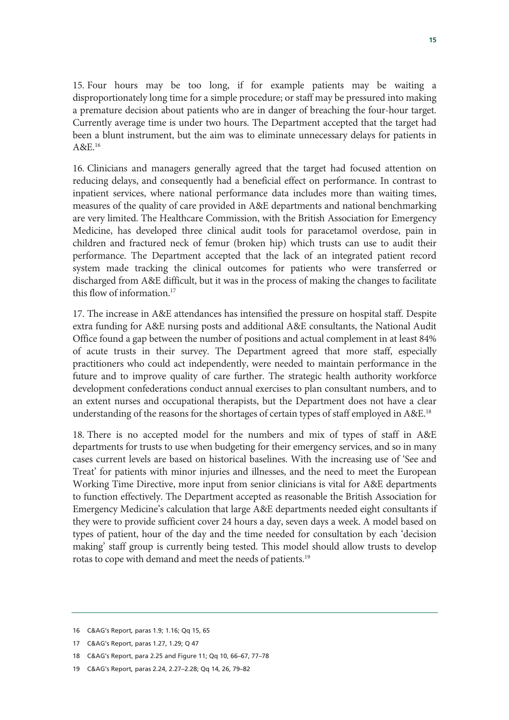15. Four hours may be too long, if for example patients may be waiting a disproportionately long time for a simple procedure; or staff may be pressured into making a premature decision about patients who are in danger of breaching the four-hour target. Currently average time is under two hours. The Department accepted that the target had been a blunt instrument, but the aim was to eliminate unnecessary delays for patients in A&E.16

16. Clinicians and managers generally agreed that the target had focused attention on reducing delays, and consequently had a beneficial effect on performance. In contrast to inpatient services, where national performance data includes more than waiting times, measures of the quality of care provided in A&E departments and national benchmarking are very limited. The Healthcare Commission, with the British Association for Emergency Medicine, has developed three clinical audit tools for paracetamol overdose, pain in children and fractured neck of femur (broken hip) which trusts can use to audit their performance. The Department accepted that the lack of an integrated patient record system made tracking the clinical outcomes for patients who were transferred or discharged from A&E difficult, but it was in the process of making the changes to facilitate this flow of information.17

17. The increase in A&E attendances has intensified the pressure on hospital staff. Despite extra funding for A&E nursing posts and additional A&E consultants, the National Audit Office found a gap between the number of positions and actual complement in at least 84% of acute trusts in their survey. The Department agreed that more staff, especially practitioners who could act independently, were needed to maintain performance in the future and to improve quality of care further. The strategic health authority workforce development confederations conduct annual exercises to plan consultant numbers, and to an extent nurses and occupational therapists, but the Department does not have a clear understanding of the reasons for the shortages of certain types of staff employed in A&E.<sup>18</sup>

18. There is no accepted model for the numbers and mix of types of staff in A&E departments for trusts to use when budgeting for their emergency services, and so in many cases current levels are based on historical baselines. With the increasing use of 'See and Treat' for patients with minor injuries and illnesses, and the need to meet the European Working Time Directive, more input from senior clinicians is vital for A&E departments to function effectively. The Department accepted as reasonable the British Association for Emergency Medicine's calculation that large A&E departments needed eight consultants if they were to provide sufficient cover 24 hours a day, seven days a week. A model based on types of patient, hour of the day and the time needed for consultation by each 'decision making' staff group is currently being tested. This model should allow trusts to develop rotas to cope with demand and meet the needs of patients.<sup>19</sup>

<sup>16</sup> C&AG's Report*,* paras 1.9; 1.16; Qq 15, 65

<sup>17</sup> C&AG's Report, paras 1.27, 1.29; Q 47

<sup>18</sup> C&AG's Report, para 2.25 and Figure 11; Qq 10, 66–67, 77–78

<sup>19</sup> C&AG's Report*,* paras 2.24, 2.27–2.28; Qq 14, 26, 79–82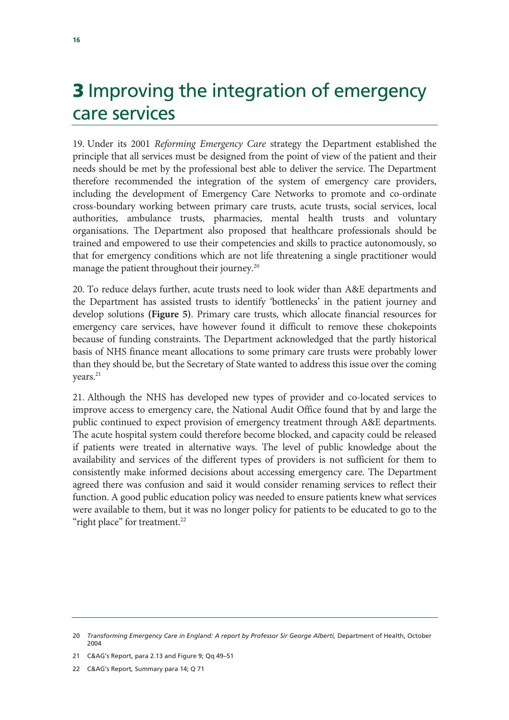# **3** Improving the integration of emergency care services

19. Under its 2001 *Reforming Emergency Care* strategy the Department established the principle that all services must be designed from the point of view of the patient and their needs should be met by the professional best able to deliver the service. The Department therefore recommended the integration of the system of emergency care providers, including the development of Emergency Care Networks to promote and co-ordinate cross-boundary working between primary care trusts, acute trusts, social services, local authorities, ambulance trusts, pharmacies, mental health trusts and voluntary organisations. The Department also proposed that healthcare professionals should be trained and empowered to use their competencies and skills to practice autonomously, so that for emergency conditions which are not life threatening a single practitioner would manage the patient throughout their journey.<sup>20</sup>

20. To reduce delays further, acute trusts need to look wider than A&E departments and the Department has assisted trusts to identify 'bottlenecks' in the patient journey and develop solutions **(Figure 5)**. Primary care trusts, which allocate financial resources for emergency care services, have however found it difficult to remove these chokepoints because of funding constraints. The Department acknowledged that the partly historical basis of NHS finance meant allocations to some primary care trusts were probably lower than they should be, but the Secretary of State wanted to address this issue over the coming years.<sup>21</sup>

21. Although the NHS has developed new types of provider and co-located services to improve access to emergency care, the National Audit Office found that by and large the public continued to expect provision of emergency treatment through A&E departments. The acute hospital system could therefore become blocked, and capacity could be released if patients were treated in alternative ways. The level of public knowledge about the availability and services of the different types of providers is not sufficient for them to consistently make informed decisions about accessing emergency care. The Department agreed there was confusion and said it would consider renaming services to reflect their function. A good public education policy was needed to ensure patients knew what services were available to them, but it was no longer policy for patients to be educated to go to the "right place" for treatment.<sup>22</sup>

21 C&AG's Report, para 2.13 and Figure 9; Qq 49–51

22 C&AG's Report*,* Summary para 14; Q 71

<sup>20</sup> *Transforming Emergency Care in England: A report by Professor Sir George Alberti, Department of Health, October* 2004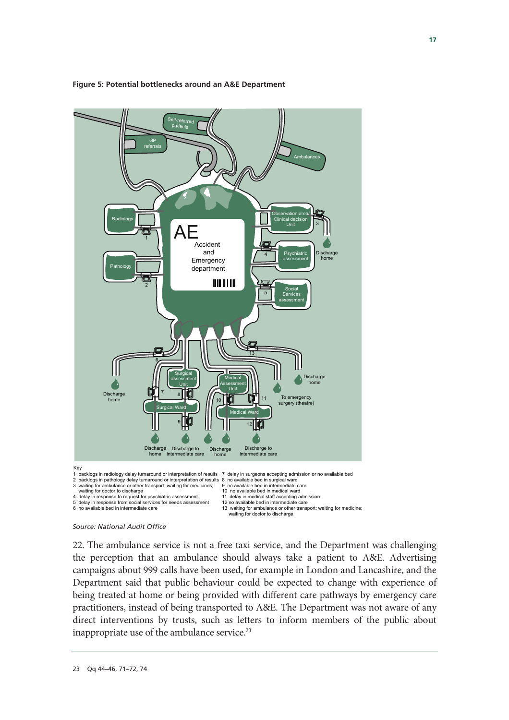

#### **Figure 5: Potential bottlenecks around an A&E Department**



22. The ambulance service is not a free taxi service, and the Department was challenging the perception that an ambulance should always take a patient to A&E. Advertising campaigns about 999 calls have been used, for example in London and Lancashire, and the Department said that public behaviour could be expected to change with experience of being treated at home or being provided with different care pathways by emergency care practitioners, instead of being transported to A&E. The Department was not aware of any direct interventions by trusts, such as letters to inform members of the public about inappropriate use of the ambulance service.<sup>23</sup>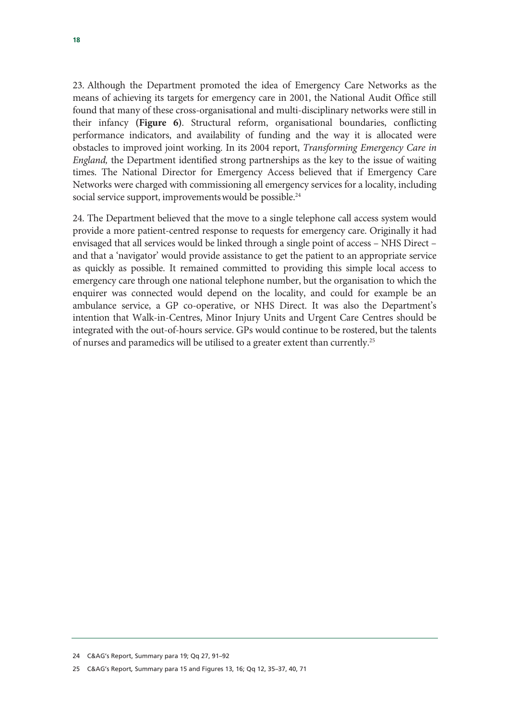23. Although the Department promoted the idea of Emergency Care Networks as the means of achieving its targets for emergency care in 2001, the National Audit Office still found that many of these cross-organisational and multi-disciplinary networks were still in their infancy **(Figure 6)**. Structural reform, organisational boundaries, conflicting performance indicators, and availability of funding and the way it is allocated were obstacles to improved joint working. In its 2004 report, *Transforming Emergency Care in England,* the Department identified strong partnerships as the key to the issue of waiting times. The National Director for Emergency Access believed that if Emergency Care Networks were charged with commissioning all emergency services for a locality, including social service support, improvements would be possible.<sup>24</sup>

24. The Department believed that the move to a single telephone call access system would provide a more patient-centred response to requests for emergency care. Originally it had envisaged that all services would be linked through a single point of access – NHS Direct – and that a 'navigator' would provide assistance to get the patient to an appropriate service as quickly as possible. It remained committed to providing this simple local access to emergency care through one national telephone number, but the organisation to which the enquirer was connected would depend on the locality, and could for example be an ambulance service, a GP co-operative, or NHS Direct. It was also the Department's intention that Walk-in-Centres, Minor Injury Units and Urgent Care Centres should be integrated with the out-of-hours service. GPs would continue to be rostered, but the talents of nurses and paramedics will be utilised to a greater extent than currently.25

<sup>24</sup> C&AG's Report, Summary para 19; Qq 27, 91–92

<sup>25</sup> C&AG's Report*,* Summary para 15 and Figures 13, 16; Qq 12, 35–37, 40, 71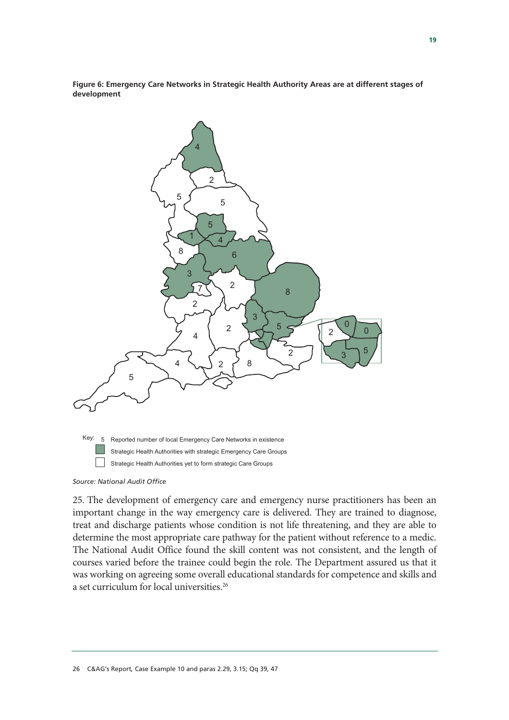**Figure 6: Emergency Care Networks in Strategic Health Authority Areas are at different stages of development** 



*Source: National Audit Office* 

25. The development of emergency care and emergency nurse practitioners has been an important change in the way emergency care is delivered. They are trained to diagnose, treat and discharge patients whose condition is not life threatening, and they are able to determine the most appropriate care pathway for the patient without reference to a medic. The National Audit Office found the skill content was not consistent, and the length of courses varied before the trainee could begin the role. The Department assured us that it was working on agreeing some overall educational standards for competence and skills and a set curriculum for local universities.<sup>26</sup>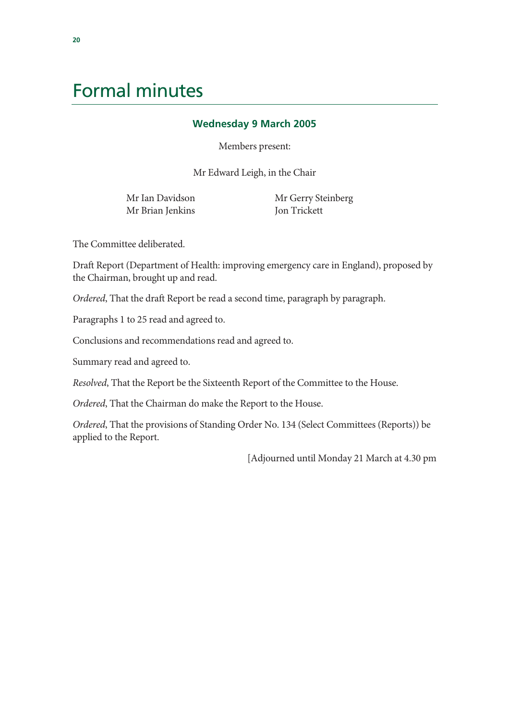# Formal minutes

### **Wednesday 9 March 2005**

Members present:

Mr Edward Leigh, in the Chair

Mr Ian Davidson Mr Brian Jenkins  Mr Gerry Steinberg Jon Trickett

The Committee deliberated.

Draft Report (Department of Health: improving emergency care in England), proposed by the Chairman, brought up and read.

*Ordered*, That the draft Report be read a second time, paragraph by paragraph.

Paragraphs 1 to 25 read and agreed to.

Conclusions and recommendations read and agreed to.

Summary read and agreed to.

*Resolved*, That the Report be the Sixteenth Report of the Committee to the House.

*Ordered*, That the Chairman do make the Report to the House.

*Ordered*, That the provisions of Standing Order No. 134 (Select Committees (Reports)) be applied to the Report.

[Adjourned until Monday 21 March at 4.30 pm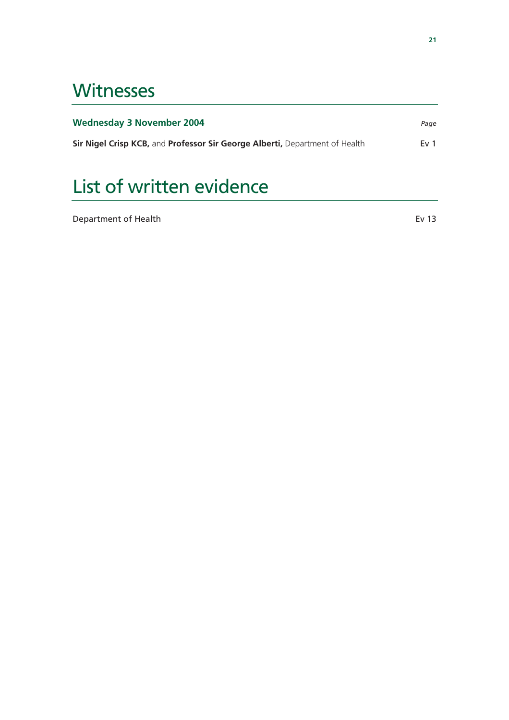# **Witnesses**

| <b>Wednesday 3 November 2004</b>                                            | Page            |
|-----------------------------------------------------------------------------|-----------------|
| Sir Nigel Crisp KCB, and Professor Sir George Alberti, Department of Health | Ev <sub>1</sub> |

# List of written evidence

Department of Health **Event Even and Even and Even Even** Even and Even and Even and Even and Even and Even and Even and Even and Even and Even and Even and Even and Even and Even and Even and Even and Even and Even and Eve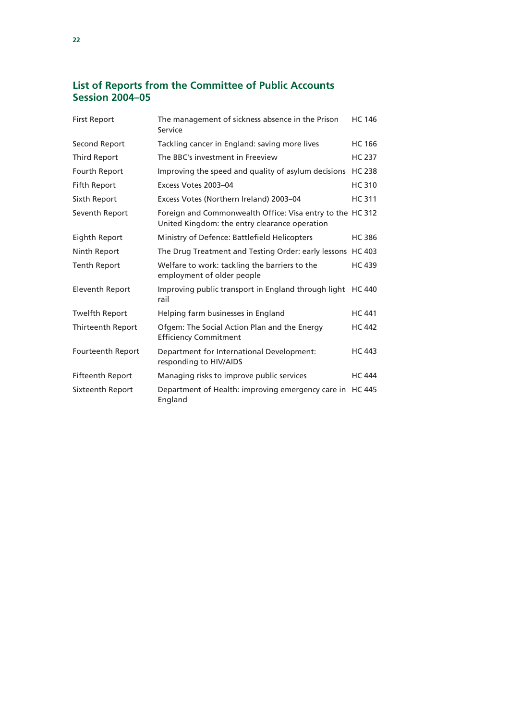### **List of Reports from the Committee of Public Accounts Session 2004–05**

| <b>First Report</b>      | The management of sickness absence in the Prison<br>Service                                                | <b>HC 146</b> |
|--------------------------|------------------------------------------------------------------------------------------------------------|---------------|
| Second Report            | Tackling cancer in England: saving more lives                                                              | <b>HC 166</b> |
| <b>Third Report</b>      | The BBC's investment in Freeview                                                                           | <b>HC 237</b> |
| Fourth Report            | Improving the speed and quality of asylum decisions                                                        | <b>HC 238</b> |
| Fifth Report             | Excess Votes 2003-04                                                                                       | <b>HC 310</b> |
| Sixth Report             | Excess Votes (Northern Ireland) 2003-04                                                                    | <b>HC 311</b> |
| Seventh Report           | Foreign and Commonwealth Office: Visa entry to the HC 312<br>United Kingdom: the entry clearance operation |               |
| Eighth Report            | Ministry of Defence: Battlefield Helicopters                                                               | <b>HC386</b>  |
| Ninth Report             | The Drug Treatment and Testing Order: early lessons HC 403                                                 |               |
| <b>Tenth Report</b>      | Welfare to work: tackling the barriers to the<br>employment of older people                                | <b>HC 439</b> |
| <b>Eleventh Report</b>   | Improving public transport in England through light<br>rail                                                | HC 440        |
| <b>Twelfth Report</b>    | Helping farm businesses in England                                                                         | <b>HC 441</b> |
| <b>Thirteenth Report</b> | Ofgem: The Social Action Plan and the Energy<br><b>Efficiency Commitment</b>                               | <b>HC 442</b> |
| Fourteenth Report        | Department for International Development:<br>responding to HIV/AIDS                                        | <b>HC 443</b> |
| <b>Fifteenth Report</b>  | Managing risks to improve public services                                                                  | <b>HC 444</b> |
| Sixteenth Report         | Department of Health: improving emergency care in<br>England                                               | <b>HC 445</b> |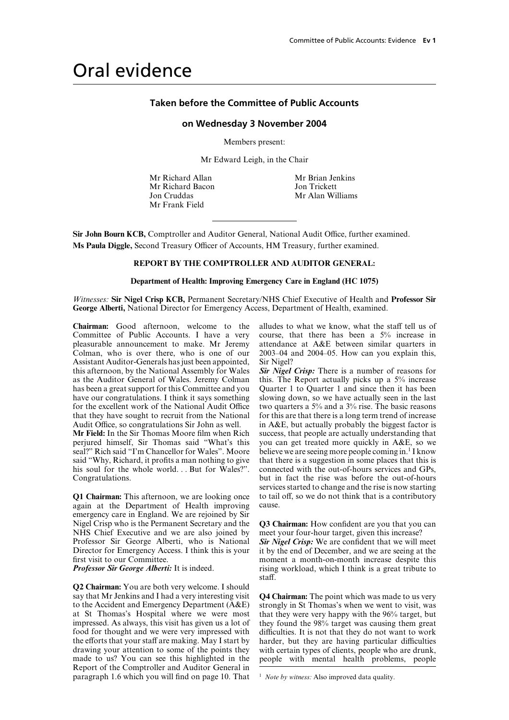## Oral evidence

#### **Taken before the Committee of Public Accounts**

#### **on Wednesday 3 November 2004**

Members present:

Mr Edward Leigh, in the Chair

Mr Richard Allan Mr Brian Jenkins Mr Richard Bacon Jon Trickett Jon Cruddas Mr Alan Williams Mr Frank Field

**Sir John Bourn KCB,** Comptroller and Auditor General, National Audit Office, further examined. Ms Paula Diggle, Second Treasury Officer of Accounts, HM Treasury, further examined.

#### **REPORT BY THE COMPTROLLER AND AUDITOR GENERAL:**

#### **Department of Health: Improving Emergency Care in England (HC 1075)**

*Witnesses:* **Sir Nigel Crisp KCB,** Permanent Secretary/NHS Chief Executive of Health and **Professor Sir George Alberti,** National Director for Emergency Access, Department of Health, examined.

**Chairman:** Good afternoon, welcome to the alludes to what we know, what the staff tell us of Committee of Public Accounts. I have a very course, that there has been a 5% increase in Assistant Auditor-Generals has just been appointed, Sir Nigel? this afternoon, by the National Assembly for Wales **Sir Nigel Crisp:** There is a number of reasons for as the Auditor General of Wales. Jeremy Colman this. The Report actually picks up a 5% increase as the Auditor General of Wales. Jeremy Colman this. The Report actually picks up a 5% increase has been a great support for this Committee and you Quarter 1 to Quarter 1 and since then it has been has been a great support for this Committee and you have our congratulations. I think it says something slowing down, so we have actually seen in the last for the excellent work of the National Audit Office two quarters a  $5\%$  and a  $3\%$  rise. The basic reasons that they have sought to recruit from the National for this are that there is a long term trend of increase that they have sought to recruit from the National Audit Office, so congratulations Sir John as well.

perjured himself, Sir Thomas said "What's this you can get treated more quickly in A&E, so we seal?" Rich said "I'm Chancellor for Wales". Moore believe we are seeing more people coming in.<sup>1</sup> I know seal?" Rich said "I'm Chancellor for Wales". Moore

again at the Department of Health improving cause. emergency care in England. We are rejoined by Sir Nigel Crisp who is the Permanent Secretary and the **Q3 Chairman:** How confident are you that you can NHS Chief Executive and we are also joined by meet your four-hour target, given this increase? NHS Chief Executive and we are also joined by Professor Sir George Alberti, who is National *Sir Nigel Crisp:* We are confident that we will meet Director for Emergency Access. I think this is your it by the end of December, and we are seeing at the Director for Emergency Access. I think this is your first visit to our Committee.

**Q2 Chairman:** You are both very welcome. I should say that Mr Jenkins and I had a very interesting visit **Q4 Chairman:** The point which was made to us very to the Accident and Emergency Department (A&E) strongly in St Thomas's when we went to visit, was to the Accident and Emergency Department  $(AAE)$  strongly in St Thomas's when we went to visit, was at St Thomas's Hospital where we were most that they were very happy with the 96% target, but at St Thomas's Hospital where we were most that they were very happy with the 96% target, but impressed. As always, this visit has given us a lot of they found the 98% target was causing them great impressed. As always, this visit has given us a lot of they found the 98% target was causing them great food for thought and we were very impressed with difficulties. It is not that they do not want to work food for thought and we were very impressed with difficulties. It is not that they do not want to work the efforts that your staff are making. May I start by harder, but they are having particular difficulties the efforts that your staff are making. May I start by harder, but they are having particular difficulties drawing your attention to some of the points they with certain types of clients, people who are drunk, drawing your attention to some of the points they with certain types of clients, people who are drunk, made to us? You can see this highlighted in the people with mental health problems, people made to us? You can see this highlighted in the Report of the Comptroller and Auditor General in paragraph 1.6 which you will find on page 10. That <sup>1</sup> *Note by witness:* Also improved data quality.

course, that there has been a  $5\%$  increase in pleasurable announcement to make. Mr Jeremy attendance at A&E between similar quarters in Colman, who is over there, who is one of our 2003–04 and 2004–05. How can you explain this,

in  $A&E$ , but actually probably the biggest factor is success, that people are actually understanding that **Mr Field:** In the Sir Thomas Moore film when Rich success, that people are actually understanding that perjured himself, Sir Thomas said "What's this you can get treated more quickly in A&E, so we said "Why, Richard, it profits a man nothing to give that there is a suggestion in some places that this is his soul for the whole world... But for Wales?". connected with the out-of-hours services and GPs, his soul for the whole world. . . But for Wales?". connected with the out-of-hours services and GPs,<br>but in fact the rise was before the out-of-hours but in fact the rise was before the out-of-hours services started to change and the rise is now starting **Q1 Chairman:** This afternoon, we are looking once to tail off, so we do not think that is a contributory

first visit to our Committee.<br> *Professor Sir George Alberti:* It is indeed. This is a great tribute to rising workload, which I think is a great tribute to *Prigorian* Fising workload, which I think is a great tribute to staff.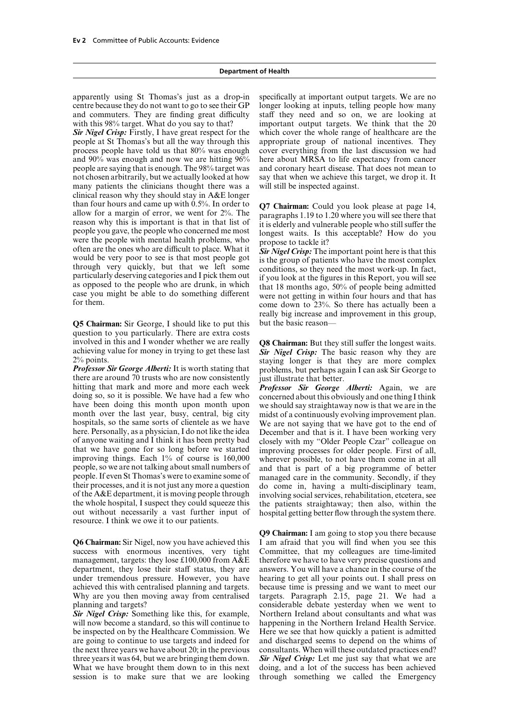centre because they do not want to go to see their GP longer looking at inputs, telling people how many and commuters. They are finding great difficulty staff they need and so on, we are looking at

*Sir Nigel Crisp:* Firstly, I have great respect for the people at St Thomas's but all the way through this appropriate group of national incentives. They process people have told us that 80% was enough cover everything from the last discussion we had and 90% was enough and now we are hitting 96% here about MRSA to life expectancy from cancer people are saying that is enough. The 98% target was and coronary heart disease. That does not mean to not chosen arbitrarily, but we actually looked at how say that when we achieve this target, we drop it. It many patients the clinicians thought there was a will still be inspected against. clinical reason why they should stay in A&E longer than four hours and came up with 0.5%. In order to  $Q7$  Chairman: Could you look please at page 14, allow for a margin of error, we went for  $2\%$ . The paragraphs 1.19 to 1.20 where you will see there that reason why this people you gave, the people who concerned me most<br>were the people with mental health problems, who<br>often are the ones who are difficult to place. What it<br>often are the ones who are difficult to place. What it<br>would be very

**Q5 Chairman:** Sir George, I should like to put this but the basic reason question to you particularly. There are extra costs involved in this and I wonder whether we are really **Q8 Chairman:** But they still suffer the longest waits. achieving value for money in trying to get these last *Sir Nigel Crisp:* The basic reason why they are  $2\%$  points.

there are around  $\overline{70}$  trusts who are now consistently hitting that mark and more and more each week. hitting that mark and more and more each week *Professor Sir George Alberti:* Again, we are doing so, so it is possible. We have had a few who concerned about this obviously and one thing I think have been doing this month upon month upon month over the last year, busy, central, big city month over the last year, busy, central, big city midst of a continuously evolving improvement plan.<br>hospitals, so the same sorts of clientele as we have We are not saying that we have got to the end of hospitals, so the same sorts of clientele as we have We are not saying that we have got to the end of here. Personally, as a physician, I do not like the idea December and that is it. I have been working very here. Personally, as a physician, I do not like the idea December and that is it. I have been working very of anyone waiting and I think it has been pretty bad closely with my "Older People Czar" colleague on of anyone waiting and I think it has been pretty bad closely with my "Older People Czar" colleague on that we have gone for so long before we started improving processes for older people. First of all, improving things. Each 1% of course is 160,000 wherever possible to not have them come in at all improving things. Each 1% of course is 160,000 wherever possible, to not have them come in at all people, so we are not talking about small numbers of and that is part of a big programme of better people. If even St Thomas's were to examine some of managed care in the community. Secondly, if they people. If even St Thomas's were to examine some of managed care in the community. Secondly, if they their processes, and it is not just any more a question do come in having a multi-disciplinary team. their processes, and it is not just any more a question do come in, having a multi-disciplinary team, of the A&E department, it is moving people through involving social services, rehabilitation, etcetera, see of the A&E department, it is moving people through involving social services, rehabilitation, etcetera, see the whole hospital, I suspect they could squeeze this the patients straightaway: then also, within the out without necessarily a vast further input of hospital getting better flow through the system there. resource. I think we owe it to our patients.

**Q6 Chairman:** Sir Nigel, now you have achieved this success with enormous incentives, very tight Committee, that my colleagues are time-limited management, targets: they lose  $\text{\pounds}100,000$  from  $A\&E$  therefore we have to have very precise questions and department, they lose their staff status, they are answers. You will have a chance in the course of the under tremendous pressure. However, you have hearing to get all your points out. I shall press on achieved this with centralised planning and targets. because time is pressing and we want to meet our Why are you then moving away from centralised targets. Paragraph 2.15, page 21. We had a planning and targets? considerable debate yesterday when we went to

will now become a standard, so this will continue to happening in the Northern Ireland Health Service. be inspected on by the Healthcare Commission. We Here we see that how quickly a patient is admitted are going to continue to use targets and indeed for and discharged seems to depend on the whims of the next three years we have about 20; in the previous consultants. When will these outdated practices end? three years it was 64, but we are bringing them down. *Sir Nigel Crisp:* Let me just say that what we are What we have brought them down to in this next doing, and a lot of the success has been achieved What we have brought them down to in this next session is to make sure that we are looking through something we called the Emergency

apparently using St Thomas's just as a drop-in specifically at important output targets. We are no with this 98% target. What do you say to that? important output targets. We think that the 20 **Sir Nigel Crisp:** Firstly, I have great respect for the which cover the whole range of healthcare are the

really big increase and improvement in this group,

 $2\%$  points.<br>**Professor Sir George Alberti:** It is worth stating that problems, but perhaps again I can ask Sir George to problems, but perhaps again I can ask Sir George to just illustrate that better.

> concerned about this obviously and one thing I think<br>we should say straight away now is that we are in the the patients straightaway; then also, within the

**Q9 Chairman:** I am going to stop you there because I am afraid that you will find when you see this *Sir Nigel Crisp:* Something like this, for example, Northern Ireland about consultants and what was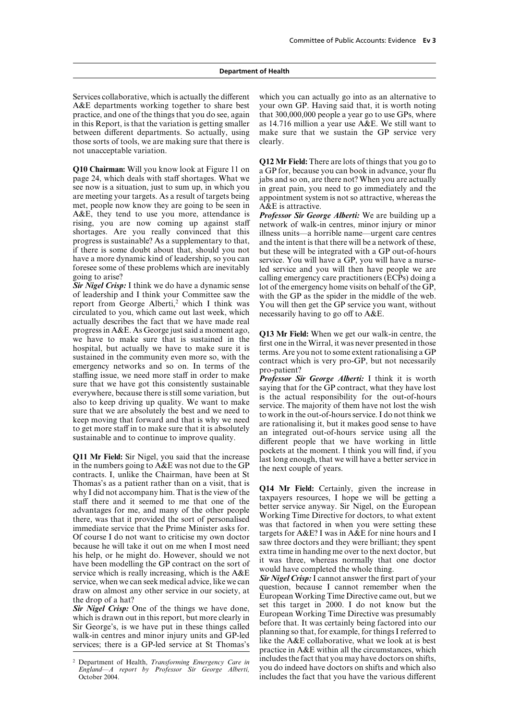A&E departments working together to share best your own GP. Having said that, it is worth noting practice, and one of the things that you do see, again that 300,000,000 people a year go to use GPs, where in this Report, is that the variation is getting smaller as 14.716 million a year use A&E. We still want to between different departments. So actually, using make sure that we sustain the GP service very those sorts of tools, we are making sure that there is clearly. not unacceptable variation.

page 24, which deals with staff shortages. What we jabs and so on, are there not? When you are actually see now is a situation, just to sum up, in which you in great pain, you need to go immediately and the see now is a situation, just to sum up, in which you in great pain, you need to go immediately and the are meeting your targets. As a result of targets being appointment system is not so attractive, whereas the met, people now know they are going to be seen in  $\overrightarrow{A\&E}$  is attractive. A&E, they tend to use you more, attendance is *Professor Sir George Alberti:* We are building up a rising, you are now coming up against staff network of walk-in centres, minor injury or minor shortages. Are you really convinced that this illness units—a horrible name—urgent care centres shortages. Are you really convinced that this illness units—a horrible name—urgent care centres progress is sustainable? As a supplementary to that, and the intent is that there will be a network of these. progress is sustainable? As a supplementary to that, and the intent is that there will be a network of these, if there is some doubt about that, should you not but these will be integrated with a GP out-of-hours if there is some doubt about that, should you not but these will be integrated with a GP out-of-hours have a more dynamic kind of leadership, so you can service You will have a GP you will have a nursehave a more dynamic kind of leadership, so you can service. You will have a GP, you will have a nurse-<br>foresee some of these problems which are inevitably led service and you will then have people we are foresee some of these problems which are inevitably led service and you will then have people we are going to arise?

*Sir Nigel Crisp:* I think we do have a dynamic sense lot of the emergency home visits on behalf of the GP, of leadership and I think your Committee saw the with the GP as the spider in the middle of the web. report from George Alberti,<sup>2</sup> which I think was You will then get the GP service you want, without circulated to you, which came out last week, which necessarily having to go off to  $A\&E$ . actually describes the fact that we have made real progress in A&E. As George just said a moment ago,<br>
we have to make sure that is sustained in the therms. Are you not to some extent rationalising a GP<br>
hospital, but actually we have to make sure it is<br>
sustained in the

**Q11 Mr Field:** Sir Nigel, you said that the increase pockets at the moment. I think you will find, if you in the numbers going to  $A & E$  was not due to the GP contracts. I, unlike the Chairman, have been at St Thomas's as a patient rather than on a visit, that is<br>
whyl did not accompany him. That is the view of the strainly, given the increase in<br>
whyl did not accompany him. That is the view of the<br>
staff there and it seemed to

Services collaborative, which is actually the different which you can actually go into as an alternative to

**Q12 Mr Field:** There are lots of things that you go to **Q10 Chairman:** Will you know look at Figure 11 on a GP for, because you can book in advance, your flu appointment system is not so attractive, whereas the

going to arise?<br> **Sir Nigel Crisp:** I think we do have a dynamic sense lot of the emergency home visits on behalf of the GP with the GP as the spider in the middle of the web.

<sup>2</sup> Department of Health, *Transforming Emergency Care in* includes the fact that you may have doctors on shifts, *England—A* report by *Professor Sir George Alberti* you do indeed have doctors on shifts and which also includes the fact that you have the various different

*England—A report by Professor Sir George Alberti,* October 2004.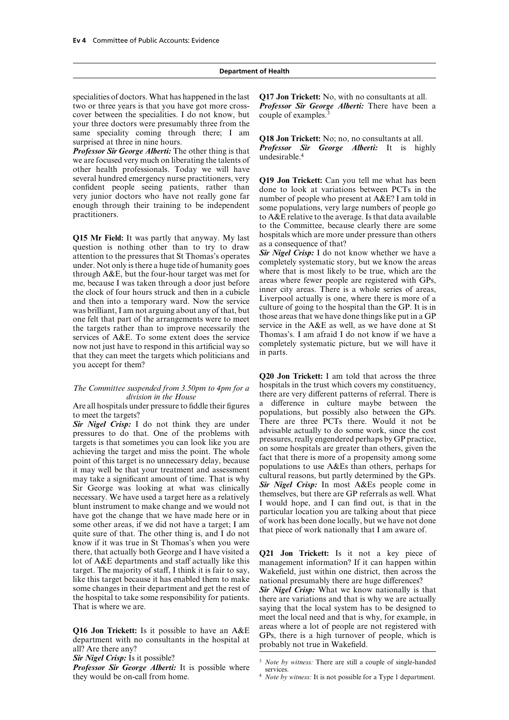two or three years is that you have got more cross- *Professor Sir George Alberti:* There have been a cover between the specialities. I do not know, but couple of examples.<sup>3</sup> your three doctors were presumably three from the same speciality coming through there; I am

we are focused very much on liberating the talents of other health professionals. Today we will have several hundred emergency nurse practitioners, very **Q19 Jon Trickett:** Can you tell me what has been confident people seeing patients, rather than done to look at variations between PCTs in the very junior doctors who hav

**Q15 Mr Field:** It was partly that anyway. My last hospitals which are more under pressure than others question is nothing other than to try to draw as a consequence of that?<br>attention to the pressures that St Thomas's op through A&E, but the four-hour target was met for<br>me, because I was taken through a door just before areas where fewer people are registered with GPs,<br>the clock of four hours struck and then in a cubicle<br>inner city areas. the clock of four hours struck and then in a cubicle<br>and then into a temporary ward. Now the service<br>Liverpool actually is one, where there is more of a and then into a temporary ward. Now the service<br>was brilliant, I am not arguing about any of that, but<br>one felt that part of the arrangements were to meet<br>the targets rather than to improve necessarily the<br>service in the A services of A&E. To some extent does the service<br>now not just have to respond in this artificial way so<br>that they can meet the targets which politicians and<br> $\frac{1}{2}$  in parts. you accept for them?

know if it was true in St Thomas's when you were there, that actually both George and I have visited a **Q21 Jon Trickett:** Is it not a key piece of lot of A&E departments and staff actually like this management information? If it can happen within target. The majority of staff, I think it is fair to say, Wakefield, just within one district, then across the like this target because it has enabled them to make national presumably there are huge differences?<br>some changes in their department and get the rest of  $\sigma_{\text{vir}}$  Nigel Crise: What we know nationally is t some changes in their department and get the rest of *Sir Nigel Crisp:* What we know nationally is that the hospital to take some responsibility for patients. there are variations and that is why we are actually the hospital to take some responsibility for patients. there are variations and that is why we are actually That is where we are.

**Q16 Jon Trickett:** Is it possible to have an  $A&E$  areas where a lot of people are not registered with department with no consultants in the hospital at  $BPS$ , there is a high turnover of people, which is all? Are there

*Professor Sir George Alberti:* It is possible where *3 Note by witness:* There are still a couple of single-handed *Professor Sir George Alberti:* It is possible where they witness: It is not possible for a Type 1 depar

specialities of doctors. What has happened in the last **Q17 Jon Trickett:** No, with no consultants at all.

sume specially colling through these, 1 am **Q18 Jon Trickett:** No; no, no consultants at all.<br> **Professor Sir George Alberti:** It is highly<br> **Professor Sir George Alberti:** It is highly

very junior doctors who have not really gone far number of people who present at A&E? I am told in enough through their training to be independent some populations, very large numbers of people go practitioners. to the Committee, because clearly there are some

**Q20 Jon Trickett:** I am told that across the three *The Committee suspended from 3.50pm to 4pm for a* hospitals in the trust which covers my constituency, *division in the House* there are very different patterns of referral. There is Are all hospitals under pressure to fiddle their figures a difference in culture maybe between the to meet the targets? For *Nigel Crisp*: I do not think they are under There are the cryces. Sir *Nigel Crisp*: I do not think they are under There are three PCTs there is that some work, since the cost targets is that sometimes you can look l

saying that the local system has to be designed to meet the local need and that is why, for example, in

<sup>&</sup>lt;sup>4</sup> *Note by witness:* It is not possible for a Type 1 department.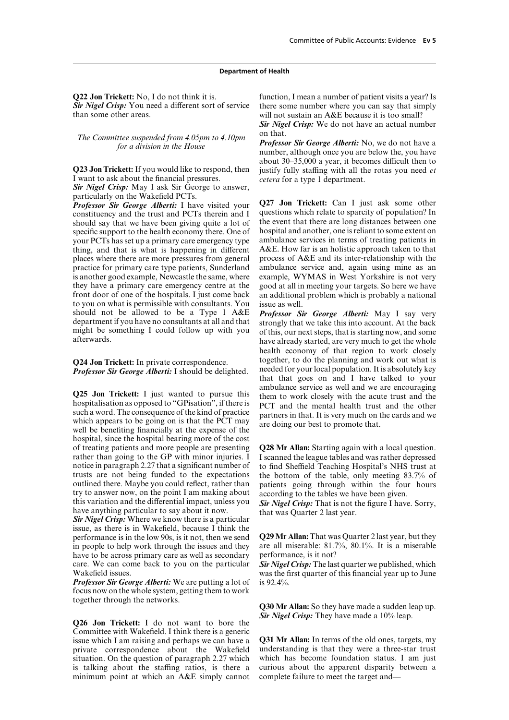than some other areas. will not sustain an A&E because it is too small?

*The Committee suspended from 4.05pm to 4.10pm* on that.<br>*Professor Sir George Alberti:* No, we do not have a<br>*Professor Sir George Alberti:* No, we do not have a<br>mumber, although once you are below the, you have

I want to ask about the financial pressures. *cetera* for a type 1 department.

*Sir Nigel Crisp:* May I ask Sir George to answer, particularly on the Wakefield PCTs.

constituency and the trust and PCTs therein and I questions which relate to sparcity of population? In should say that we have been giving quite a lot of the event that there are long distances between one should say that we have been giving quite a lot of the event that there are long distances between one specific support to the health economy there. One of hospital and another, one is reliant to some extent on specific support to the health economy there. One of hospital and another, one is reliant to some extent on<br>vour PCTs has set un a primary care emergency type ambulance services in terms of treating patients in your PCTs has set up a primary care emergency type ambulance services in terms of treating patients in thing, and that is what is happening in different A&E. How far is an holistic approach taken to that thing, and that is what is happening in different places where there are more pressures from general process of A&E and its inter-relationship with the practice for primary care type patients, Sunderland ambulance service and, again using mine as an practice for primary care type patients, Sunderland ambulance service and, again using mine as an is another good example. Newcastle the same, where example, WYMAS in West Yorkshire is not very is another good example, Newcastle the same, where they have a primary care emergency centre at the good at all in meeting your targets. So here we have front door of one of the hospitals. I just come back an additional problem which is probably a national to you on what is permissible with consultants. You issue as well. should not be allowed to be a Type 1 A&E *Professor Sir George Alberti:* May I say very department if you have no consultants at all and that strongly that we take this into account. At the back

such a word. I he consequence of the kind of practice<br>which appears to be going on is that the PCT may<br>well be benefiting financially at the expense of the<br>well be benefiting financially at the expense of the hospital, since the hospital bearing more of the cost of treating patients and more people are presenting **Q28 Mr Allan:** Starting again with a local question. rather than going to the GP with minor injuries. I I scanned the league tables and was rather depressed notice in paragraph 2.27 that a significant number of to find Sheffield Teaching Hospital's NHS trust at trusts are not being funded to the expectations the bottom of the table, only meeting 83.7% of trusts are not being funded to the expectations the bottom of the table, only meeting 83.7% of outlined there. Maybe you could reflect, rather than patients going through within the four hours outlined there. Maybe you could reflect, rather than patients going through within the four hours try to answer now, on the point I am making about according to the tables we have been given try to answer now, on the point I am making about<br>this variation and the differential impact, unless you<br>have anything particular to say about it now.<br>Sir Nigel Crisp: That is not the figure I have. Sorry,<br>Sir Nigel Crisp:

issue, as there is in Wakefield, because I think the performance is in the low 90s, is it not, then we send **Q29 Mr Allan:** That was Quarter 2 last year, but they in people to help work through the issues and they are all miserable:  $81.7\%$ ,  $80.1\%$ . It is a miserable have to be across primary care as well as secondary performance, is it not? have to be across primary care as well as secondary care. We can come back to you on the particular *Sir Nigel Crisp:* The last quarter we published, which

*Professor Sir George Alberti:* We are putting a lot of is 92.4%. focus now on the whole system, getting them to work together through the networks. **Q30 Mr Allan:** So they have made a sudden leap up.

*Sir Nigel Crisp:* They have made a 10% leap. **Q26 Jon Trickett:** I do not want to bore the Committee with Wakefield. I think there is a generic issue which I am raising and perhaps we can have a **Q31 Mr Allan:** In terms of the old ones, targets, my private correspondence about the Wakefield understanding is that they were a three-star trust situation. On the question of paragraph 2.27 which which has become foundation status. I am just situation. On the question of paragraph 2.27 which which has become foundation status. I am just<br>is talking about the staffing ratios, is there a curious about the apparent disparity between a is talking about the staffing ratios, is there a minimum point at which an A&E simply cannot complete failure to meet the target and—

**Q22 Jon Trickett:** No, I do not think it is. function, I mean a number of patient visits a year? Is Sir Nigel Crisp: You need a different sort of service there some number where you can say that simply

*Sir Nigel Crisp:* We do not have an actual number

about  $30-35,000$  a year, it becomes difficult then to **Q23 Jon Trickett:** If you would like to respond, then justify fully staffing with all the rotas you need *et* 

*Professor Sir George Alberti:* I have visited your **Q27 Jon Trickett:** Can I just ask some other constituency and the trust and PCTs therein and I questions which relate to sparcity of population? In

department if you have no consultants at all and that strongly that we take this into account. At the back<br>might be something I could follow up with you of this, our next steps, that is starting now, and some<br>afterwards. health economy of that region to work closely **Q24 Jon Trickett:** In private correspondence.<br>**Professor Sir George Alberti:** I should be delighted needed for your local population. It is absolutely key *Professor Sir George Alberti:* I should be delighted. needed for your local population. It is absolutely key that that goes on and I have talked to your ambulance service as well and we are encouraging **Q25 Jon Trickett:** I just wanted to pursue this them to work closely with the acute trust and the hospitalisation as opposed to "GPisation", if there is PCT and the mental health trust and the other such a word. The conse

Wakefield issues. Wakefield issues. Wakefield issues.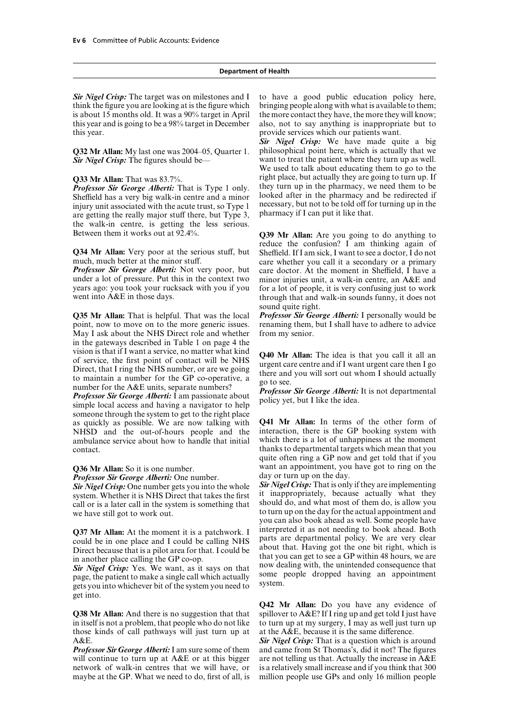think the figure you are looking at is the figure which bringing people along with what is available to them; is about 15 months old. It was a 90% target in April the more contact they have, the more they will know; this year and is going to be a 98% target in December also, not to say anything is inappropriate but to this year. provide services which our patients want.

Sheffield has a very big walk-in centre and a minor<br>invoked after in the pharmacy and be redirected if<br>injury unit associated with the acute trust, so Type 1<br>necessary, but not to be told off for turning up in the<br>are gett the walk-in centre, is getting the less serious. Between them it works out at 92.4%. **Q39 Mr Allan:** Are you going to do anything to

under a lot of pressure. Put this in the context two minor injuries unit, a walk-in centre, an A&E and vears ago: you took your rucksack with you if you for a lot of people, it is very confusing just to work years ago: you took your rucksack with you if you for a lot of people, it is very confusing just to work<br>went into  $A \& E$  in those days.<br>through that and walk-in sounds funny, it does not

**Q35 Mr Allan:** That is helpful. That was the local point, now to move on to the more generic issues. May I ask about the NHS Direct role and whether from my senior. in the gateways described in Table 1 on page 4 the vision is that if I want a service, no matter what kind vision is that if I want a service, no matter what kind<br>of service, the first point of contact will be NHS<br>Direct, that I ring the NHS number, or are we going<br>to maintain a number for the GP co-operative, a<br>number for the

someone through the system to get to the right place as quickly as possible. We are now talking with **Q41 Mr Allan:** In terms of the other form of NHSD and the out-of-hours people and the ambulance service about how to handle that initial which there is a lot of unhappiness at the moment contact. thanks to departmental targets which mean that you

*Professor Sir George Alberti:* One number. day or turn up on the day.<br>*Sir Nigel Crisn:* One number gets you into the whole **Sir Nigel Crisp:** That is only if they are implementing call or is a later call in the system is something that we have still got to work out.

parts are departmental policy. We are very clear could be calling NHS and that are very could be cause that is a pilot area for that I could be about that. Having got the one bit right, which is Direct because that is a pilot area for that. I could be about that. Having got the one bit right, which is in another place calling the GP co-on

get into.

in itself is not a problem, that people who do not like to turn up at my surgery, I may as well just turn up those kinds of call pathways will just turn up at at the  $A\&E$ , because it is the same difference. A&E. **Sir Nigel Crisp:** That is a question which is around  $\frac{Sir \text{ Nigel Crisp.}}{Sir \text{ Nigel Crisp.}}$ 

will continue to turn up at  $A&E$  or at this bigger are not telling us that. Actually the increase in  $A&E$  network of walk-in centres that we will have, or is a relatively small increase and if you think that 300 network of walk-in centres that we will have, or maybe at the GP. What we need to do, first of all, is million people use GPs and only 16 million people

*Sir Nigel Crisp:* The target was on milestones and I to have a good public education policy here,

*Sir Nigel Crisp:* We have made quite a big **Q32 Mr Allan:** My last one was 2004–05, Quarter 1. philosophical point here, which is actually that we *Sir Nigel Crisp:* The figures should be— want to treat the patient where they turn up as well. We used to talk about educating them to go to the **Q33 Mr Allan:** That was 83.7%.<br>*Professor Sir George Alberti:* That is Type 1 only they turn up in the pharmacy, we need them to be *Professor Sir George Alberti:* That is Type 1 only. they turn up in the pharmacy, we need them to be Sheffield has a very big walk-in centre and a minor looked after in the pharmacy and be redirected if

reduce the confusion? I am thinking again of **Q34 Mr Allan:** Very poor at the serious stuff, but Sheffield. If I am sick, I want to see a doctor, I do not much, much better at the minor stuff.  $\frac{1}{2}$ care whether you call it a secondary or a primary **Professor Sir George Alberti:** Not very poor, but care doctor. At the moment in Sheffield, I have a under a lot of pressure. Put this in the context two minor injuries unit, a walk-in centre, an A&E and through that and walk-in sounds funny, it does not sound quite right.<br>**Professor Sir George Alberti:** I personally would be

renaming them, but I shall have to adhere to advice.

quite often ring a GP now and get told that if you **Q36 Mr Allan:** So it is one number.<br> **Exercise** Want an appointment, you have got to ring on the **Professor Sir George Alberti:** One number day or turn up on the day.

*Sir Nigel Crisp:* One number gets you into the whole *Sir Nigel Crisp:* That is only if they are implementing system. Whether it is NHS Direct that takes the first in unappropriately, because actually what they call or is a later call in the system is something that should do, and what most of them do, is allow you to turn up on the day for the actual appointment and you can also book ahead as well. Some people have **Q37 Mr Allan:** At the moment it is a patchwork. I interpreted it as not needing to book ahead. Both could be in one place and Louid be calling NHS parts are departmental policy. We are very clear in another place calling the GP co-op.<br>
Sir Nigel Crisp: Yes. We want, as it says on that<br>
page, the patient to make a single call which actually<br>
gome people dropped having an appointment<br>
gets you into whichever bit of t

**Q42 Mr Allan:** Do you have any evidence of **Q38 Mr Allan:** And there is no suggestion that that spillover to  $A \& E$ ? If I ring up and get told I just have

*Professor Sir George Alberti:*I am sure some of them and came from St Thomas's, did it not? The figures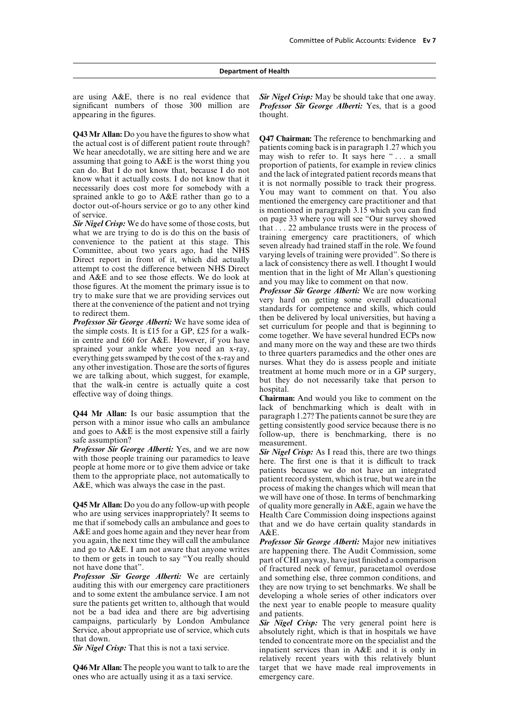are using A&E, there is no real evidence that *Sir Nigel Crisp:* May be should take that one away. appearing in the figures. thought.

who are using services inappropriately? It seems to Health Care Commission doing inspections against me that if somebody calls an ambulance and goes to that and we do have certain quality standards in A&E and goes home again and they never hear from  $A \&E$ <br>vou again, the next time they will call the ambulance  $P_{\text{ro}}$ 

**Professor Sir George Alberti:** We are certainly and something else, three common conditions, and auditing this with our emergency care practitioners they are now trying to set benchmarks. We shall be and to some extent th

**Q46 Mr Allan:** The people you want to talk to are the ones who are actually using it as a taxi service. emergency care.

significant numbers of those 300 million are *Professor Sir George Alberti:* Yes, that is a good

**Q43 Mr Allam:** Do you have the figures to show what the mass only the detective the steal of the steal of the steal of the steal and we are an time to the steal and the steal and the steal and the steal and the steal and

**Q44 Mr Allan:** Is our basic assumption that the person with a minor issue who calls an ambulance<br>person with a minor issue who calls an ambulance getting consistently good service because there is no<br>and goes to A&E is th

**Professor Sir George Alberti:** Yes, and we are now<br>with those people training our paramedics to leave<br>people at home more or to give them advice or take<br>them to the appropriate place, not automatically to<br>have not have an we will have one of those. In terms of benchmarking **Q45 Mr Allan:** Do you do any follow-up with people of quality more generally in A&E, again we have the who are using services inappropriately? It seems to Health Care Commission doing inspections against that and we do have certain quality standards in

you again, the next time they will call the ambulance **Professor Sir George Alberti:** Major new initiatives and go to A&E. I am not aware that anyone writes are happening there. The Audit Commission, some to them or gets i

relatively recent years with this relatively blunt target that we have made real improvements in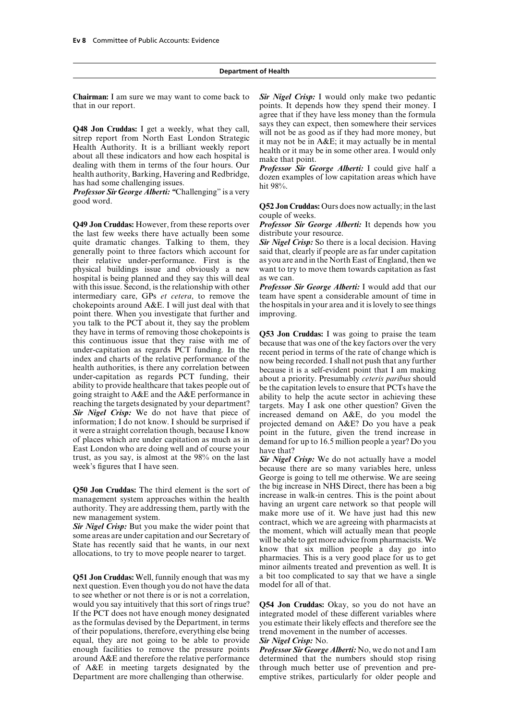that in our report. points. It depends how they spend their money. I

**Q48 Jon Cruddas:** I get a weekly, what they call, says they can expect, then somewhere their services<br>sitrep report from North East London Strategic in may not be as good as if they had more money, but<br>Health Authority.

good word.<br>**Q52 Jon Cruddas:** Ours does now actually; in the last

**Q49 Jon Cruddas:** However, from these reports over *Professor Sir George Alberti:* It depends how you the last few weeks there have actually been some distribute your resource. the last few weeks there have actually been some distribute your resource.<br>quite dramatic changes. Talking to them, they **Sir Nigel Crisp:** So there is a local decision. Having quite dramatic changes. Talking to them, they generally point to three factors which account for said that, clearly if people are as far under capitation their relative under-performance. First is the as you are and in the North East of England, then we physical buildings issue and obviously a new want to try to move them towards capitation as fast physical buildings issue and obviously a new hospital is being planned and they say this will deal as we can.<br>with this issue. Second, is the relationship with other *Professor Sir George Alberti:* I would add that our with this issue. Second, is the relationship with other intermediary care, GPs *et cetera*, to remove the team have spent a considerable amount of time in chokepoints around A&E. I will just deal with that the hospitals in your area and it is lovely to see things chokepoints around  $A\&E$ . I will just deal with that point there. When you investigate that further and improving. you talk to the PCT about it, they say the problem<br>they have in terms of removing those chokepoints is they have in terms of removing those chokepoints is<br>this continuous issue that they raise with me of<br>the because that was one of the key factors over the very<br>under-capitation as regards PCT funding. In the<br>health authorit ability to provide healthcare that takes people out of<br>going straight to A&E and the A&E performance in<br>reaching the targets designated by your department?<br>**Sir** Nigel Crisp: We do not have that piece of<br>information; I do trust, as you say, is almost at the 98% on the last *Sir Nigel Crisp:* We do not actually have a model week's figures that I have seen. because there are so many variables here, unless

**Q51 Jon Cruddas:** Well, funnily enough that was my a bit too complicated next question. Even though you do not have the data model for all of that. next question. Even though you do not have the data. to see whether or not there is or is not a correlation, would you say intuitively that this sort of rings true? **Q54 Jon Cruddas:** Okay, so you do not have an If the PCT does not have enough money designated integrated model of these different variables where as the formulas devised by the Department, in terms you estimate their likely effects and therefore see the of their populations, therefore, everything else being trend movement in the number of accesses. equal, they are not going to be able to provide *Sir Nigel Crisp:* No. enough facilities to remove the pressure points *Professor Sir George Alberti:* No, we do not and I am around A&E and therefore the relative performance determined that the numbers should stop rising around  $A\&E$  and therefore the relative performance determined that the numbers should stop rising of  $A\&E$  in meeting targets designated by the through much better use of prevention and pre-Department are more challenging than otherwise. emptive strikes, particularly for older people and

**Chairman:** I am sure we may want to come back to *Sir Nigel Crisp:* I would only make two pedantic agree that if they have less money than the formula

couple of weeks.

George is going to tell me otherwise. We are seeing **Q50 Jon Cruddas:** The third element is the sort of<br>management system approaches within the health<br>authority. They are addressing them, partly with the<br>new management system.<br>new management system.<br>**Sir Nigel Crisp:** But y minor ailments treated and prevention as well. It is a bit too complicated to say that we have a single

through much better use of prevention and pre-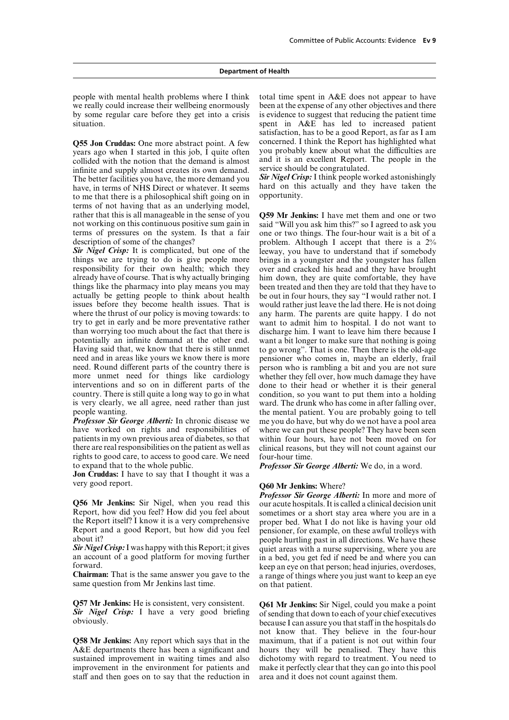people with mental health problems where I think total time spent in A&E does not appear to have we really could increase their wellbeing enormously been at the expense of any other objectives and there by some regular care before they get into a crisis is evidence to suggest that reducing the patient time situation. Spent in A&E has led to increased patient

years ago when I started in this job, I quite often you probably knew about what the difficulties are collided with the notion that the demand is almost and it is an excellent Report. The people in the collided with the notion that the demand is almost and it is an excellent Report.<br>
infinite and supply almost creates its own demand service should be congratulated. infinite and supply almost creates its own demand. service should be congratulated.<br>The better facilities you have the more demand you Sir Nigel Crisp: I think people worked astonishingly The better facilities you have, the more demand you *Sir Nigel Crisp:* I think people worked astonishingly have in terms of NHS Direct or whatever. It seems hard on this actually and they have taken the have, in terms of NHS Direct or whatever. It seems hard on this to me that there is a philosophical shift going on in opportunity. to me that there is a philosophical shift going on in terms of not having that as an underlying model, rather that this is all manageable in the sense of you **Q59 Mr Jenkins:** I have met them and one or two not working on this continuous positive sum gain in terms of pressures on the system. Is that a fair terms of pressures on the system. Is that a fair one or two things. The four-hour wait is a bit of a description of some of the changes?<br>problem. Although I accept that there is a 2%

**Sir Nigel Crisp:** It is complicated, but one of the leeway, you have to understand that if somebody things we are trying to do is give people more brings in a youngster and the youngster has fallen responsibility for their own health; which they over and cracked his head and they have brought already have of course. That is why actually bringing him down, they are quite comfortable, they have things like the pharmacy into play means you may been treated and then they are told that they have to things like the pharmacy into play means you may been treated and then they are told that they have to actually be getting people to think about health be out in four hours, they say "I would rather not. I issues before they become health issues. That is where the thrust of our policy is moving towards: to any harm. The parents are quite happy. I do not try to get in early and be more preventative rather want to admit him to hospital. I do not want to than worrying too much about the fact that there is discharge him. I want to leave him there because I than worrying too much about the fact that there is discharge him. I want to leave him there because I potentially an infinite demand at the other end. want a bit longer to make sure that nothing is going Having said that, we know that there is still unmet to go wrong". That is one. Then there is the old-age need and in areas like yours we know there is more pensioner who comes in, maybe an elderly, frail need. Round different parts of the country there is person who is rambling a bit and you are not sure more unmet need for things like cardiology whether they fell over, how much damage they have interventions and so on in different parts of the done to their head or whether it is their general country. There is still quite a long way to go in what condition, so you want to put them into a holding

*Professor Sir George Alberti:* In chronic disease we me you do have, but why do we not have a pool area have worked on rights and responsibilities of where we can put these people? They have been seen patients in my own previous area of diabetes, so that there are real responsibilities on the patient as well as rights to good care, to access to good care. We need four-hour time.<br>to expand that to the whole public. **Professor Sir G** 

**Jon Cruddas:** I have to say that I thought it was a very good report. **Q60 Mr Jenkins:** Where?

Report, how did you feel? How did you feel about sometimes or a short stay area where you are in a the Report itself? I know it is a very comprehensive proper bed. What I do not like is having your old the Report itself? I know it is a very comprehensive proper bed. What I do not like is having your old Report and a good Report, but how did you feel pensioner, for example, on these awful trolleys with Report and a good Report, but how did you feel pensioner, for example, on these awful trolleys with about it?

same question from Mr Jenkins last time. on that patient.

**Q58 Mr Jenkins:** Any report which says that in the A&E departments there has been a significant and hours they will be penalised. They have this sustained improvement in waiting times and also dichotomy with regard to treatment. You need to improvement in the environment for patients and make it perfectly clear that they can go into this pool staff and then goes on to say that the reduction in area and it does not count against them.

satisfaction, has to be a good Report, as far as I am **Q55 Jon Cruddas:** One more abstract point. A few concerned. I think the Report has highlighted what vears ago when I started in this job. I quite often you probably knew about what the difficulties are

description of some of the changes?<br> **Sir Nigel Crisp:** It is complicated, but one of the leeway, you have to understand that if somebody brings in a youngster and the youngster has fallen be out in four hours, they say "I would rather not. I would rather just leave the lad there. He is not doing want a bit longer to make sure that nothing is going. condition, so you want to put them into a holding is very clearly, we all agree, need rather than just ward. The drunk who has come in after falling over, people wanting.<br>the mental patient. You are probably going to tell people wanting.<br> **Professor Sir George Alberti:** In chronic disease we me you do have, but why do we not have a pool area where we can put these people? They have been seen<br>within four hours, have not been moved on for clinical reasons, but they will not count against our

Professor Sir George Alberti: We do, in a word.

*Professor Sir George Alberti:* In more and more of **Q56 Mr Jenkins:** Sir Nigel, when you read this our acute hospitals. It is called a clinical decision unit about it?<br>**Sir Nigel Crisp:** I was happy with this Report; it gives and some the square supervising, where you are *Sir Nigel Crisp:* I was happy with this Report; it gives quiet areas with a nurse supervising, where you are an account of a good platform for moving further in a bed, you get fed if need be and where you can an account of a good platform for moving further in a bed, you get fed if need be and where you can<br>forward forward.<br> **Chairman:** That is the same answer you gave to the a range of things where you just want to keep an eye a range of things where you just want to keep an eye

**Q57 Mr Jenkins:** He is consistent, very consistent. **Q61 Mr Jenkins:** Sir Nigel, could you make a point **Sir** Nigel Crisp: I have a very good briefing of sending that down to each of your chief executives because I can as not know that. They believe in the four-hour make it perfectly clear that they can go into this pool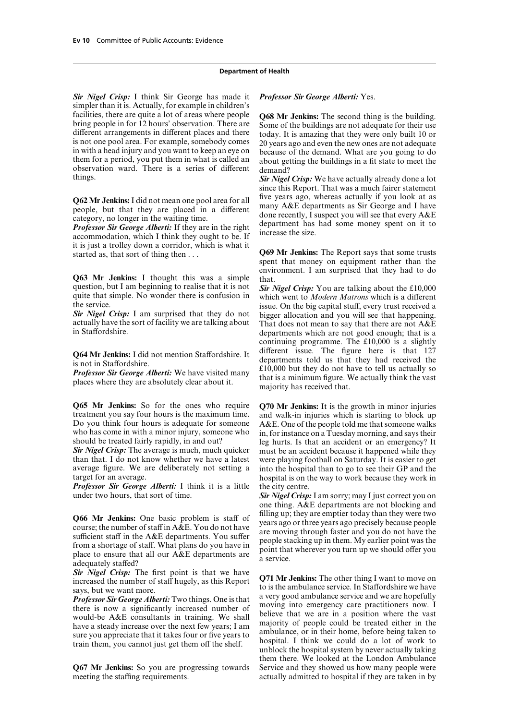*Sir Nigel Crisp:* I think Sir George has made it *Professor Sir George Alberti:* Yes. simpler than it is. Actually, for example in children's Facilities, there are quite a lot of areas where people<br>
bring people in for 12 hours' observation. There are<br>
different arrangements in different places and there<br>
is not one pool area. For example, somebody comes<br>
in wit things. *Sir Nigel Crisp:* We have actually already done a lot

it is just a trolley down a corridor, which is what it<br> **Q69 Mr Jenkins:** The Report says that some trusts<br>
spent that money on equipment rather than the

environment. I am surprised that they had to do<br>question, but I am beginning to realise that it is not<br> $\frac{Sir \text{ Nied Crisn: You are talking about the } f10,000}{s}$ question, but I am beginning to realise that it is not<br>quite that simple. No wonder there is confusion in which went to *Modern Matrons* which is a different<br>the service.

**Q65 Mr Jenkins:** So for the ones who require **Q70 Mr Jenkins:** It is the growth in minor injuries treatment you say four hours is the maximum time. and walk-in injuries which is starting to block up treatment you say four hours is the maximum time. and walk-in injuries which is starting to block up Do you think four hours is adequate for some  $A \& E$ . One of the people told me that someone walks Do you think four hours is adequate for someone A&E. One of the people told me that someone walks<br>who has come in with a minor injury, someone who in for instance on a Tuesday morning, and says their who has come in with a minor injury, someone who in, for instance on a Tuesday morning, and says their<br>should be treated fairly rapidly, in and out?

*Sir Nigel Crisp:* The average is much, much quicker must be an accident because it happened while they than that. I do not know whether we have a latest were playing football on Saturday. It is easier to get average figure. We are deliberately not setting a into the hospital than to go to see their GP and the

**Professor Sir George Alberti:** I think it is a little the city centre.<br>under two hours, that sort of time. Sir Nigel Crisn:

**Q66 Mr Jenkins:** One basic problem is staff of  $\mu$  filling up; they are emptier today than they were two years, the number of staff in A&E. You do not have sufficient staff in the A&E departments. You suffer are moving

**Q67 Mr Jenkins:** So you are progressing towards meeting the staffing requirements. actually admitted to hospital if they are taken in by

since this Report. That was a much fairer statement<br>five years ago, whereas actually if you look at as **Q62 Mr Jenkins:** I did not mean one pool area for all<br>people, but that they are placed in a different many A&E departments as Sir George and I have<br>category, no longer in the waiting time.<br>**Professor Sir George Alberti:**

the service.<br> **Sir Nigel Crisp:** I am surprised that they do not bigger allocation and you will see that happening. **Sir Nigel Crisp:** I am surprised that they do not bigger allocation and you will see that happening.<br>actually have the sort of facility we are talking about That does not mean to say that there are not A&E<br>in Staffordshir continuing programme. The  $£10,000$  is a slightly different issue. The figure here is that  $127$ **Q64 Mr Jenkins:** I did not mention Staffordshire. It<br>is not in Staffordshire.<br>It departments told us that they had received the<br>**Professor Sir George Alberti:** We have visited many<br>places where they are absolutely clear

> leg hurts. Is that an accident or an emergency? It were playing football on Saturday. It is easier to get hospital is on the way to work because they work in

> Sir Nigel Crisp: I am sorry; may I just correct you on one thing. A&E departments are not blocking and

**Sir Nigel Crisp:** The first point is that we have<br>increased the number of staff hugely, as this Report<br>says, but we want more.<br>**Professor Sir George Alberti:** Two things. One is that<br>**Professor Sir George Alberti:** Two th them there. We looked at the London Ambulance<br>Service and they showed us how many people were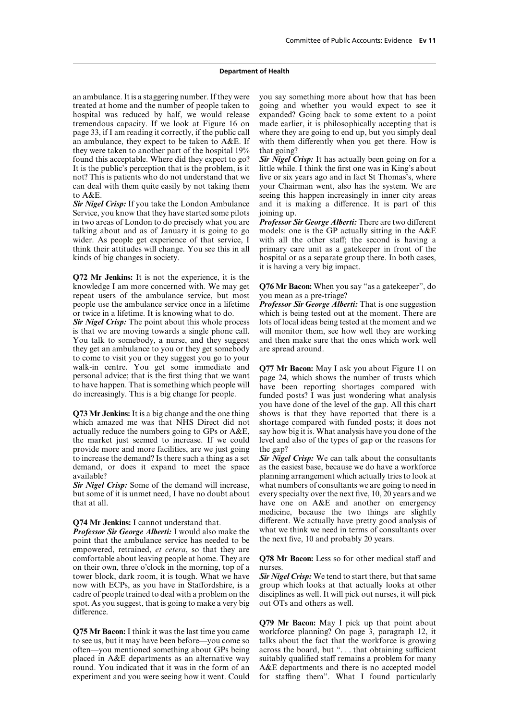an ambulance. It is a staggering number. If they were you say something more about how that has been treated at home and the number of people taken to going and whether you would expect to see it hospital was reduced by half, we would release expanded? Going back to some extent to a point tremendous capacity. If we look at Figure 16 on made earlier, it is philosophically accepting that is page 33, if I am reading it correctly, if the public call where they are going to end up, but you simply deal an ambulance, they expect to be taken to  $A\&E$ . If with them differently when you get there. How is they were taken to another part of the hospital 19% that going? found this acceptable. Where did they expect to go? *Sir Nigel Crisp:* It has actually been going on for a It is the public's perception that is the problem, is it little while. I think the first one was in King's about not? This is patients who do not understand that we five or six years ago and in fact St Thomas's, where can deal with them quite easily by not taking them your Chairman went, also has the system. We are to A&E. Seeing this happen increasingly in inner city areas

Service, you know that they have started some pilots joining up. in two areas of London to do precisely what you are *Professor Sir George Alberti:* There are two different talking about and as of January it is going to go models: one is the GP actually sitting in the A&E talking about and as of January it is going to go models: one is the GP actually sitting in the A&E wider. As people get experience of that service. I with all the other staff: the second is having a wider. As people get experience of that service, I think their attitudes will change. You see this in all primary care unit as a gatekeeper in front of the kinds of big changes in society. hospital or as a separate group there. In both cases,

**Q72 Mr Jenkins:** It is not the experience, it is the knowledge I am more concerned with. We may get **Q76 Mr Bacon:** When you say "as a gatekeeper", do repeat users of the ambulance service, but most you mean as a pre-triage? people use the ambulance service once in a lifetime *Professor Sir George Alberti:* That is one suggestion or twice in a lifetime. It is knowing what to do. which is being tested out at the moment. There are

is that we are moving towards a single phone call. will monitor them, see how well they are working You talk to somebody, a nurse, and they suggest and then make sure that the ones which work well they get an ambulance to you or they get somebody are spread around. to come to visit you or they suggest you go to your walk-in centre. You get some immediate and **Q77 Mr Bacon:** May I ask you about Figure 11 on personal advice; that is the first thing that we want to have happen. That is something which people will have been reporting shor

**Q73 Mr Jenkins:** It is a big change and the one thing shows is that they have reported that there is a which amazed me was that NHS Direct did not shortage compared with funded posts; it does not actually reduce the numbers going to GPs or A&E, say how big it is. What analysis have you done of the the market just seemed to increase. If we could level and also of the types of gap or the reasons for provide more and more facilities, are we just going the gap? to increase the demand? Is there such a thing as a set *Sir Nigel Crisp:* We can talk about the consultants demand, or does it expand to meet the space as the easiest base, because we do have a workforce available? planning arrangement which actually tries to look at

but some of it is unmet need, I have no doubt about every specialty over the next five, 10, 20 years and we

*Professor Sir George Alberti:* I would also make the what we think we need in terms of consequent that the ambulance service has needed to be the next five, 10 and probably 20 years. point that the ambulance service has needed to be. empowered, retrained, *et cetera*, so that they are comfortable about leaving people at home. They are **Q78 Mr Bacon:** Less so for other medical staff and on their own, three o'clock in the morning, top of a nurses.<br>tower block, dark room, it is tough. What we have **Sir Nigel Crisp:** We tend to start there, but that same tower block, dark room, it is tough. What we have *Sir Nigel Crisp:* We tend to start there, but that same now with ECPs, as you have in Staffordshire, is a group which looks at that actually looks at other now with ECPs, as you have in Staffordshire, is a cadre of people trained to deal with a problem on the disciplines as well. It will pick out nurses, it will pick spot. As you suggest, that is going to make a very big out OTs and others as well. difference.

**Q75 Mr Bacon:** I think it was the last time you came to see us, but it may have been before—you come so talks about the fact that the workforce is growing often—you mentioned something about GPs being across the board, but "... that obtaining sufficient placed in A&E departments as an alternative way suitably qualified staff remains a problem for many round. You indicated that it was in the form of an A&E departments and there is no accepted model experiment and you were seeing how it went. Could for staffing them". What I found particularly

**Sir Nigel Crisp:** If you take the London Ambulance and it is making a difference. It is part of this

it is having a very big impact.

*Sir Nigel Crisp:* The point about this whole process lots of local ideas being tested at the moment and we

you have done of the level of the gap. All this chart shortage compared with funded posts; it does not

*Sir Nigel Crisp:* Some of the demand will increase, what numbers of consultants we are going to need in that at all. have one on A&E and another on emergency medicine, because the two things are slightly **Q74 Mr Jenkins:** I cannot understand that. different. We actually have pretty good analysis of **Professor Sir George Alberti:** I would also make the what we think we need in terms of consultants over

**Q79 Mr Bacon:** May I pick up that point about A&E departments and there is no accepted model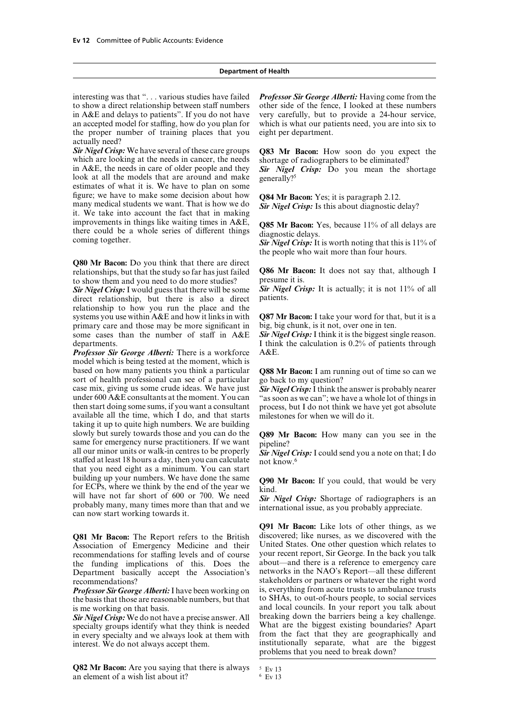in A&E and delays to patients". If you do not have very carefully, but to provide a 24-hour service, an accepted model for staffing, how do you plan for which is what our patients need, you are into six to the proper number of training places that you eight per department. actually need?

*Sir Nigel Crisp:* We have several of these care groups **Q83 Mr Bacon:** How soon do you expect the which are looking at the needs in cancer, the needs shortage of radiographers to be eliminated?<br>in A&E, the needs in care of older people and they **Sir** Nivel Crisn: Do you mean the s look at all the models that are around and make estimates of what it is. We have to plan on some figure; we have to make some decision about how  $Q84 \text{ Mr Bacon: Yes; it is paragraph 2.12.}$ <br>many medical students we want. That is how we do  $Sir Nigel Crisp$ : Is this about diagnostic delay?<br>it. We take into account the fact that in making improvements in things like waiting times in A&E,<br>there could be a whole series of different things<br>coming together.<br>Sir Nigel Crisp: It is worth noting that this is 11% of

**Q80 Mr Bacon:** Do you think that there are direct relationships, but that the study so far has just failed **Q86 Mr Bacon:** It does not say that, although I to show them and you need to do more studies?<br> **Sir Nigel Crisp:** It is actually; it is not 11% of all **Sir Nigel Crisp:** It is actually; it is not 11% of all

*Sir Nigel Crisp:* I would guess that there will be some *Sir Nige* direct relationship, but there is also a direct patients. direct relationship, but there is also a direct relationship to how you run the place and the systems you use within A&E and how it links in with **Q87 Mr Bacon:** I take your word for that, but it is a primary care and those may be more significant in big, big chunk, is it not, over one in ten. some cases than the number of staff in A&E *Sir Nigel Crisp*: I think it is the biggest single reason. departments. Think the calculation is 0.2% of patients through

*Professor Sir George Alberti:* There is a workforce A&E. model which is being tested at the moment, which is based on how many patients you think a particular **Q88 Mr Bacon:** I am running out of time so can we sort of health professional can see of a particular go back to my question?<br>case mix, giving us some crude ideas. We have just *Sir Nigel Crisp*: I think the answer is probably nearer case mix, giving us some crude ideas. We have just under 600 A&E consultants at the moment. You can then start doing some sums, if you want a consultant process, but I do not think we have yet got absolute available all the time, which I do, and that starts milestones for when we will do it. available all the time, which  $I$  do, and that starts taking it up to quite high numbers. We are building slowly but surely towards those and you can do the **Q89 Mr Bacon:** How many can you see in the same for emergency nurse practitioners. If we want pipeline?<br>all our minor units or walk-in centres to be properly **Sir** Nigel staffed at least 18 hours a day, then you can calculate not know.<sup>6</sup> that you need eight as a minimum. You can start building up your numbers. We have done the same **Q90 Mr Bacon:** If you could, that would be very for ECPs, where we think by the end of the year we kind.<br>Will have not far short of 600 or 700. We need **Sir Nigel Crise**: Sh will have not far short of 600 or 700. We need **Sir** Nigel Crisp: Shortage of radiographers is an probably many, many times more than that and we international issue, as you probably appreciate.

Association of Emergency Medicine and their United States. One other question which relates to recommendations for staffing levels and of course your recent report, Sir George. In the back you talk recommendations for staffing levels and of course your recent report, Sir George. In the back you talk<br>the funding implications of this. Does the about—and there is a reference to emergency care the funding implications of this. Does the Department basically accept the Association's networks in the NAO's Report—all these different

the basis that those are reasonable numbers, but that

*Sir Nigel Crisp:* We do not have a precise answer. All specialty groups identify what they think is needed. in every specialty and we always look at them with from the fact that they are geographically and

**Q82 Mr Bacon:** Are you saying that there is always  $5 \times 13$ <br>an element of a wish list about it? an element of a wish list about it?

interesting was that "... various studies have failed *Professor Sir George Alberti:* Having come from the to show a direct relationship between staff numbers other side of the fence. I looked at these numbers other side of the fence, I looked at these numbers

**Sir Nigel Crisp:** Do you mean the shortage generally?<sup>5</sup>

the people who wait more than four hours.

"as soon as we can"; we have a whole lot of things in

**Q91 Mr Bacon:** Like lots of other things, as we **Q81 Mr Bacon:** The Report refers to the British discovered; like nurses, as we discovered with the Association of Emergency Medicine and their United States. One other question which relates to recommendations?<br> **Stakeholders or partners or whatever the right word**<br> **Professor Sir George Alberti:** I have been working on is, everything from acute trusts to ambulance trusts *Professor Sir George Alberti:* I have been working on is, everything from acute trusts to ambulance trusts the basis that those are reasonable numbers but that to SHAs, to out-of-hours people, to social services is me working on that basis.<br> **and local councils. In your report you talk about Sir Nigel Crisn:** We do not have a precise answer. All breaking down the barriers being a key challenge. What are the biggest existing boundaries? Apart interest. We do not always accept them. https://web/areast. We do not always accept them. problems that you need to break down?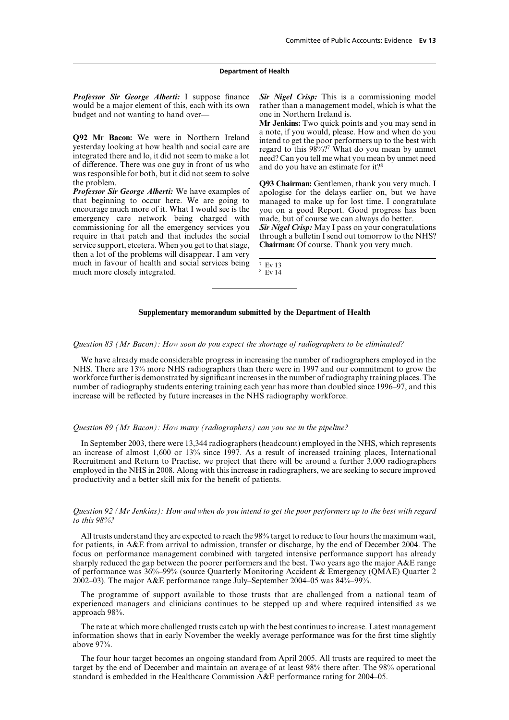would be a major element of this, each with its own rather than a management model, which is what the budget and not wanting to hand over— one in Northern Ireland is.

was responsible for both, but it did not seem to solve

*Professor Sir George Alberti:* We have examples of apologise for the delays earlier on, but we have that beginning to occur here. We are going to managed to make up for lost time. I congratulate encourage much more of it. What I would see is the you on a good Report. Good progress has emergency care network being charged with made, but of course we can always do better. emergency care network being charged with commissioning for all the emergency services you *Sir Nigel Crisp:* May I pass on your congratulations require in that patch and that includes the social through a bulletin I send out tomorrow to the NHS? service support, etcetera. When you get to that stage, **Chairman:** Of course. Thank you very much. then a lot of the problems will disappear. I am very much in favour of health and social services being  $\frac{7 \text{ EV} 13}{18 \text{ EV}}$  much more closely integrated. much more closely integrated.

*Professor Sir George Alberti:* I suppose finance *Sir Nigel Crisp:* This is a commissioning model

Mr Jenkins: Two quick points and you may send in a note, if you would, please. How and when do you Q92 Mr Bacon: We were in Northern Ireland anote, a you would, please. How and when do you<br>intend to get the poor performers up to the best with<br>integrated there and lo, it did not seem to make a lot<br>of difference. There w

the problem.<br>*Professor Sir George Alberti:* We have examples of applogise for the delays earlier on, but we have managed to make up for lost time. I congratulate you on a good Report. Good progress has been

#### **Supplementary memorandum submitted by the Department of Health**

*Question 83 (Mr Bacon): How soon do you expect the shortage of radiographers to be eliminated?*

We have already made considerable progress in increasing the number of radiographers employed in the NHS. There are 13% more NHS radiographers than there were in 1997 and our commitment to grow the workforce further is demonstrated by significant increases in the number of radiography training places. The number of radiography students entering training each year has more than doubled since 1996–97, and this increase will be reflected by future increases in the NHS radiography workforce.

#### *Question 89 (Mr Bacon): How many (radiographers) can you see in the pipeline?*

In September 2003, there were 13,344 radiographers (headcount) employed in the NHS, which represents an increase of almost 1,600 or 13% since 1997. As a result of increased training places, International Recruitment and Return to Practise, we project that there will be around a further 3,000 radiographers employed in the NHS in 2008. Along with this increase in radiographers, we are seeking to secure improved productivity and a better skill mix for the benefit of patients.

#### *Question 92 (Mr Jenkins): How and when do you intend to get the poor performers up to the best with regard to this 98%?*

All trusts understand they are expected to reach the 98% target to reduce to four hours the maximum wait, for patients, in A&E from arrival to admission, transfer or discharge, by the end of December 2004. The focus on performance management combined with targeted intensive performance support has already sharply reduced the gap between the poorer performers and the best. Two years ago the major A&E range of performance was 36%–99% (source Quarterly Monitoring Accident & Emergency (QMAE) Quarter 2 2002–03). The major A&E performance range July–September 2004–05 was 84%–99%.

The programme of support available to those trusts that are challenged from a national team of experienced managers and clinicians continues to be stepped up and where required intensified as we approach 98%.

The rate at which more challenged trusts catch up with the best continues to increase. Latest management information shows that in early November the weekly average performance was for the first time slightly above 97%.

The four hour target becomes an ongoing standard from April 2005. All trusts are required to meet the target by the end of December and maintain an average of at least 98% there after. The 98% operational standard is embedded in the Healthcare Commission A&E performance rating for 2004–05.